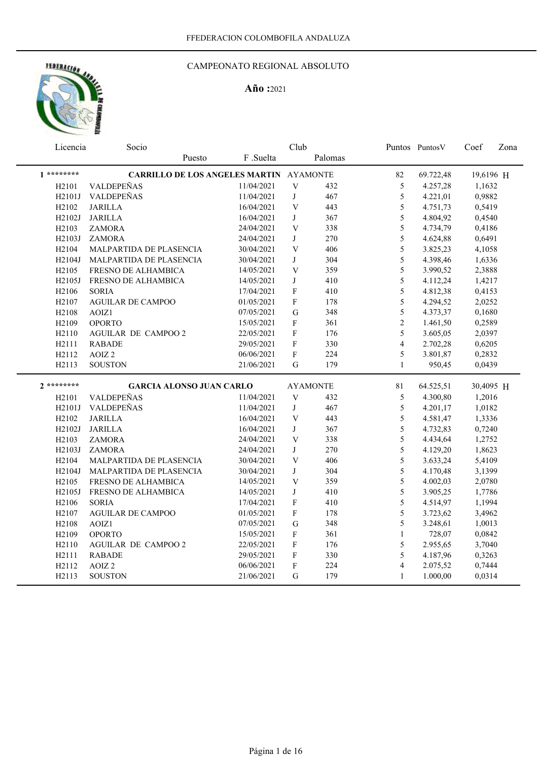

| Licencia                       | Socio                                          |            | Club                      |                 |                | Puntos Puntos V | Coef      | Zona |
|--------------------------------|------------------------------------------------|------------|---------------------------|-----------------|----------------|-----------------|-----------|------|
|                                | Puesto                                         | F.Suelta   |                           | Palomas         |                |                 |           |      |
| $1********$                    | <b>CARRILLO DE LOS ANGELES MARTIN AYAMONTE</b> |            |                           |                 | 82             | 69.722,48       | 19,6196 H |      |
| H <sub>2</sub> 101             | VALDEPEÑAS                                     | 11/04/2021 | V                         | 432             | $\mathfrak s$  | 4.257,28        | 1,1632    |      |
| H2101J                         | VALDEPEÑAS                                     | 11/04/2021 | $\bf J$                   | 467             | 5              | 4.221,01        | 0,9882    |      |
| H <sub>2</sub> 10 <sub>2</sub> | <b>JARILLA</b>                                 | 16/04/2021 | $\ensuremath{\mathbf{V}}$ | 443             | $\sqrt{5}$     | 4.751,73        | 0,5419    |      |
| H2102J                         | <b>JARILLA</b>                                 | 16/04/2021 | J                         | 367             | 5              | 4.804,92        | 0,4540    |      |
| H <sub>2</sub> 103             | <b>ZAMORA</b>                                  | 24/04/2021 | $\ensuremath{\mathbf{V}}$ | 338             | 5              | 4.734,79        | 0,4186    |      |
| H2103J                         | <b>ZAMORA</b>                                  | 24/04/2021 | $\bf J$                   | 270             | 5              | 4.624,88        | 0,6491    |      |
| H <sub>2</sub> 104             | MALPARTIDA DE PLASENCIA                        | 30/04/2021 | $\ensuremath{\mathbf{V}}$ | 406             | 5              | 3.825,23        | 4,1058    |      |
| H2104J                         | MALPARTIDA DE PLASENCIA                        | 30/04/2021 | J                         | 304             | 5              | 4.398,46        | 1,6336    |      |
| H <sub>2</sub> 105             | FRESNO DE ALHAMBICA                            | 14/05/2021 | $\ensuremath{\mathbf{V}}$ | 359             | 5              | 3.990,52        | 2,3888    |      |
| H2105J                         | FRESNO DE ALHAMBICA                            | 14/05/2021 | J                         | 410             | 5              | 4.112,24        | 1,4217    |      |
| H <sub>2106</sub>              | <b>SORIA</b>                                   | 17/04/2021 | ${\bf F}$                 | 410             | 5              | 4.812,38        | 0,4153    |      |
| H <sub>2107</sub>              | <b>AGUILAR DE CAMPOO</b>                       | 01/05/2021 | ${\bf F}$                 | 178             | 5              | 4.294,52        | 2,0252    |      |
| H <sub>2</sub> 108             | AOIZ1                                          | 07/05/2021 | ${\bf G}$                 | 348             | 5              | 4.373,37        | 0,1680    |      |
| H <sub>2</sub> 109             | <b>OPORTO</b>                                  | 15/05/2021 | ${\bf F}$                 | 361             | $\overline{2}$ | 1.461,50        | 0,2589    |      |
| H <sub>2110</sub>              | <b>AGUILAR DE CAMPOO 2</b>                     | 22/05/2021 | $\mathbf F$               | 176             | 5              | 3.605,05        | 2,0397    |      |
| H2111                          | <b>RABADE</b>                                  | 29/05/2021 | ${\bf F}$                 | 330             | $\overline{4}$ | 2.702,28        | 0,6205    |      |
| H2112                          | AOIZ <sub>2</sub>                              | 06/06/2021 | ${\bf F}$                 | 224             | 5              | 3.801,87        | 0,2832    |      |
| H2113                          | <b>SOUSTON</b>                                 | 21/06/2021 | ${\bf G}$                 | 179             | $\mathbf{1}$   | 950,45          | 0,0439    |      |
| $2*******$                     | <b>GARCIA ALONSO JUAN CARLO</b>                |            |                           | <b>AYAMONTE</b> | 81             | 64.525,51       | 30,4095 H |      |
| H <sub>2</sub> 101             | VALDEPEÑAS                                     | 11/04/2021 | $\ensuremath{\mathbf{V}}$ | 432             | 5              | 4.300,80        | 1,2016    |      |
| H2101J                         | VALDEPEÑAS                                     | 11/04/2021 | J                         | 467             | 5              | 4.201,17        | 1,0182    |      |
| H <sub>2</sub> 10 <sub>2</sub> | <b>JARILLA</b>                                 | 16/04/2021 | $\mathbf V$               | 443             | 5              | 4.581,47        | 1,3336    |      |
| H2102J                         | <b>JARILLA</b>                                 | 16/04/2021 | $\bf J$                   | 367             | 5              | 4.732,83        | 0,7240    |      |
| H <sub>2</sub> 103             | <b>ZAMORA</b>                                  | 24/04/2021 | $\mathbf V$               | 338             | 5              | 4.434,64        | 1,2752    |      |
| H2103J                         | <b>ZAMORA</b>                                  | 24/04/2021 | J                         | 270             | 5              | 4.129,20        | 1,8623    |      |
| H <sub>2</sub> 104             | MALPARTIDA DE PLASENCIA                        | 30/04/2021 | V                         | 406             | 5              | 3.633,24        | 5,4109    |      |
| H2104J                         | MALPARTIDA DE PLASENCIA                        | 30/04/2021 | $\bf J$                   | 304             | 5              | 4.170,48        | 3,1399    |      |
| H <sub>2105</sub>              | FRESNO DE ALHAMBICA                            | 14/05/2021 | $\mathbf V$               | 359             | 5              | 4.002,03        | 2,0780    |      |
| H2105J                         | FRESNO DE ALHAMBICA                            | 14/05/2021 | J                         | 410             | 5              | 3.905,25        | 1,7786    |      |
| H2106                          | <b>SORIA</b>                                   | 17/04/2021 | F                         | 410             | 5              | 4.514,97        | 1,1994    |      |
| H <sub>2107</sub>              | <b>AGUILAR DE CAMPOO</b>                       | 01/05/2021 | $\mathbf F$               | 178             | 5              | 3.723,62        | 3,4962    |      |
| H <sub>2108</sub>              | AOIZ1                                          | 07/05/2021 | ${\bf G}$                 | 348             | 5              | 3.248,61        | 1,0013    |      |
| H <sub>2</sub> 109             | <b>OPORTO</b>                                  | 15/05/2021 | $\mathbf F$               | 361             | $\mathbf{1}$   | 728,07          | 0,0842    |      |
| H2110                          | <b>AGUILAR DE CAMPOO 2</b>                     | 22/05/2021 | ${\bf F}$                 | 176             | 5              | 2.955,65        | 3,7040    |      |
| H2111                          | <b>RABADE</b>                                  | 29/05/2021 | $\rm F$                   | 330             | 5              | 4.187,96        | 0,3263    |      |
| H2112                          | AOIZ <sub>2</sub>                              | 06/06/2021 | $\mathbf{F}$              | 224             | $\overline{4}$ | 2.075,52        | 0,7444    |      |
| H2113                          | <b>SOUSTON</b>                                 | 21/06/2021 | G                         | 179             | $\mathbf{1}$   | 1.000,00        | 0,0314    |      |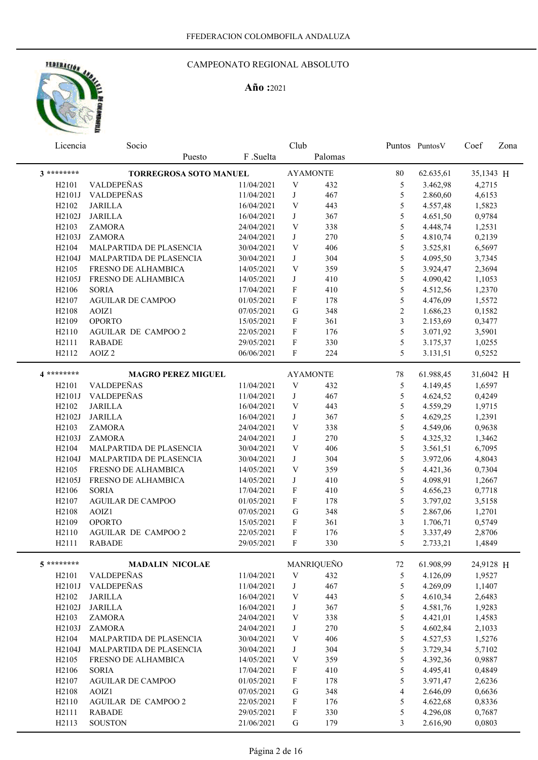

| Licencia                       | Socio                      |            | Club                      |                 |                         | Puntos Puntos V | Coef      | Zona |
|--------------------------------|----------------------------|------------|---------------------------|-----------------|-------------------------|-----------------|-----------|------|
|                                | Puesto                     | F.Suelta   |                           | Palomas         |                         |                 |           |      |
| 3 *********                    | TORREGROSA SOTO MANUEL     |            |                           | <b>AYAMONTE</b> | $80\,$                  | 62.635,61       | 35,1343 H |      |
| H <sub>2</sub> 101             | VALDEPEÑAS                 | 11/04/2021 | $\ensuremath{\text{V}}$   | 432             | 5                       | 3.462,98        | 4,2715    |      |
| H2101J                         | VALDEPEÑAS                 | 11/04/2021 | $\bf J$                   | 467             | 5                       | 2.860,60        | 4,6153    |      |
| H <sub>2</sub> 10 <sub>2</sub> | <b>JARILLA</b>             | 16/04/2021 | $\ensuremath{\mathbf{V}}$ | 443             | 5                       | 4.557,48        | 1,5823    |      |
| H2102J                         | <b>JARILLA</b>             | 16/04/2021 | J                         | 367             | 5                       | 4.651,50        | 0,9784    |      |
| H2103                          | <b>ZAMORA</b>              | 24/04/2021 | $\ensuremath{\mathbf{V}}$ | 338             | 5                       | 4.448,74        | 1,2531    |      |
| H2103J                         | <b>ZAMORA</b>              | 24/04/2021 | J                         | 270             | 5                       | 4.810,74        | 0,2139    |      |
| H <sub>2104</sub>              | MALPARTIDA DE PLASENCIA    | 30/04/2021 | $\ensuremath{\text{V}}$   | 406             | 5                       | 3.525,81        | 6,5697    |      |
| H2104J                         | MALPARTIDA DE PLASENCIA    | 30/04/2021 | $_{\rm J}$                | 304             | 5                       | 4.095,50        | 3,7345    |      |
| H <sub>2105</sub>              | FRESNO DE ALHAMBICA        | 14/05/2021 | $\ensuremath{\mathbf{V}}$ | 359             | 5                       | 3.924,47        | 2,3694    |      |
| H2105J                         | FRESNO DE ALHAMBICA        | 14/05/2021 | $_{\rm J}$                | 410             | 5                       | 4.090,42        | 1,1053    |      |
| H <sub>2106</sub>              | <b>SORIA</b>               | 17/04/2021 | $\mathbf F$               | 410             | 5                       | 4.512,56        | 1,2370    |      |
| H <sub>2107</sub>              | <b>AGUILAR DE CAMPOO</b>   | 01/05/2021 | $\boldsymbol{\mathrm{F}}$ | 178             | 5                       | 4.476,09        | 1,5572    |      |
| H <sub>2108</sub>              | AOIZ1                      | 07/05/2021 | ${\bf G}$                 | 348             | $\overline{c}$          | 1.686,23        | 0,1582    |      |
| H2109                          | <b>OPORTO</b>              | 15/05/2021 | $\boldsymbol{\mathrm{F}}$ | 361             | $\overline{\mathbf{3}}$ | 2.153,69        | 0,3477    |      |
| H2110                          | <b>AGUILAR DE CAMPOO 2</b> | 22/05/2021 | $\mathbf F$               | 176             | 5                       | 3.071,92        | 3,5901    |      |
| H2111                          | <b>RABADE</b>              | 29/05/2021 | $\boldsymbol{\mathrm{F}}$ | 330             | 5                       | 3.175,37        | 1,0255    |      |
| H2112                          | AOIZ <sub>2</sub>          | 06/06/2021 | F                         | 224             | 5                       | 3.131,51        | 0,5252    |      |
|                                |                            |            |                           |                 |                         |                 |           |      |
| 4 *********                    | <b>MAGRO PEREZ MIGUEL</b>  |            |                           | <b>AYAMONTE</b> | 78                      | 61.988,45       | 31,6042 H |      |
| H <sub>2</sub> 101             | VALDEPEÑAS                 | 11/04/2021 | $\ensuremath{\text{V}}$   | 432             | 5                       | 4.149,45        | 1,6597    |      |
| H2101J                         | VALDEPEÑAS                 | 11/04/2021 | $_{\rm J}$                | 467             | 5                       | 4.624,52        | 0,4249    |      |
| H2102                          | <b>JARILLA</b>             | 16/04/2021 | V                         | 443             | 5                       | 4.559,29        | 1,9715    |      |
| H2102J                         | <b>JARILLA</b>             | 16/04/2021 | $\bf J$                   | 367             | 5                       | 4.629,25        | 1,2391    |      |
| H <sub>2103</sub>              | ZAMORA                     | 24/04/2021 | $\ensuremath{\mathbf{V}}$ | 338             | 5                       | 4.549,06        | 0,9638    |      |
| H2103J                         | <b>ZAMORA</b>              | 24/04/2021 | J                         | 270             | 5                       | 4.325,32        | 1,3462    |      |
| H <sub>2104</sub>              | MALPARTIDA DE PLASENCIA    | 30/04/2021 | $\ensuremath{\text{V}}$   | 406             | 5                       | 3.561,51        | 6,7095    |      |
| H2104J                         | MALPARTIDA DE PLASENCIA    | 30/04/2021 | $_{\rm J}$                | 304             | 5                       | 3.972,06        | 4,8043    |      |
| H <sub>2105</sub>              | FRESNO DE ALHAMBICA        | 14/05/2021 | $\ensuremath{\text{V}}$   | 359             | 5                       | 4.421,36        | 0,7304    |      |
| H2105J                         | FRESNO DE ALHAMBICA        | 14/05/2021 | J                         | 410             | 5                       | 4.098,91        | 1,2667    |      |
| H <sub>2106</sub>              | <b>SORIA</b>               | 17/04/2021 | $\mathbf F$               | 410             | 5                       | 4.656,23        | 0,7718    |      |
| H <sub>2107</sub>              | <b>AGUILAR DE CAMPOO</b>   | 01/05/2021 | $\boldsymbol{\mathrm{F}}$ | 178             | 5                       | 3.797,02        | 3,5158    |      |
| H <sub>2108</sub>              | AOIZ1                      | 07/05/2021 | ${\bf G}$                 | 348             | 5                       | 2.867,06        | 1,2701    |      |
| H2109                          | <b>OPORTO</b>              | 15/05/2021 | $\mathbf F$               | 361             | 3                       | 1.706,71        | 0,5749    |      |
| H <sub>2110</sub>              | <b>AGUILAR DE CAMPOO 2</b> | 22/05/2021 | $\mathbf F$               | 176             | 5                       | 3.337,49        | 2,8706    |      |
| H2111                          | <b>RABADE</b>              | 29/05/2021 | $\boldsymbol{\mathrm{F}}$ | 330             | 5                       | 2.733,21        | 1,4849    |      |
|                                |                            |            |                           |                 |                         |                 |           |      |
| 5 *********                    | <b>MADALIN NICOLAE</b>     |            |                           | MANRIQUEÑO      | 72                      | 61.908,99       | 24,9128 H |      |
| H2101                          | VALDEPEÑAS                 | 11/04/2021 | $\mathbf V$               | 432             | 5                       | 4.126,09        | 1,9527    |      |
| H2101J                         | VALDEPEÑAS                 | 11/04/2021 | J                         | 467             | 5                       | 4.269,09        | 1,1407    |      |
| H2102                          | <b>JARILLA</b>             | 16/04/2021 | $\ensuremath{\text{V}}$   | 443             | 5                       | 4.610,34        | 2,6483    |      |
| H2102J                         | <b>JARILLA</b>             | 16/04/2021 | $_{\rm J}$                | 367             | 5                       | 4.581,76        | 1,9283    |      |
| H2103                          | ZAMORA                     | 24/04/2021 | $\ensuremath{\text{V}}$   | 338             | 5                       | 4.421,01        | 1,4583    |      |
| H2103J                         | <b>ZAMORA</b>              | 24/04/2021 | $\bf J$                   | 270             | 5                       | 4.602,84        | 2,1033    |      |
| H <sub>2</sub> 104             | MALPARTIDA DE PLASENCIA    | 30/04/2021 | $\ensuremath{\text{V}}$   | 406             | 5                       | 4.527,53        | 1,5276    |      |
| H2104J                         | MALPARTIDA DE PLASENCIA    | 30/04/2021 | J                         | 304             | 5                       | 3.729,34        | 5,7102    |      |
| H2105                          | FRESNO DE ALHAMBICA        | 14/05/2021 | V                         | 359             | 5                       | 4.392,36        | 0,9887    |      |
| H <sub>2106</sub>              | <b>SORIA</b>               | 17/04/2021 | $\boldsymbol{\mathrm{F}}$ | 410             | 5                       | 4.495,41        | 0,4849    |      |
| H2107                          | <b>AGUILAR DE CAMPOO</b>   | 01/05/2021 | $\boldsymbol{\mathrm{F}}$ | 178             | 5                       | 3.971,47        | 2,6236    |      |
| H <sub>2108</sub>              | AOIZ1                      | 07/05/2021 | G                         | 348             | 4                       | 2.646,09        | 0,6636    |      |
| H2110                          | AGUILAR DE CAMPOO 2        | 22/05/2021 | $\boldsymbol{\mathrm{F}}$ | 176             | 5                       | 4.622,68        | 0,8336    |      |
| H2111                          | <b>RABADE</b>              | 29/05/2021 | $\boldsymbol{\mathrm{F}}$ | 330             | 5                       | 4.296,08        | 0,7687    |      |
| H2113                          | <b>SOUSTON</b>             | 21/06/2021 | ${\bf G}$                 | 179             | 3                       | 2.616,90        | 0,0803    |      |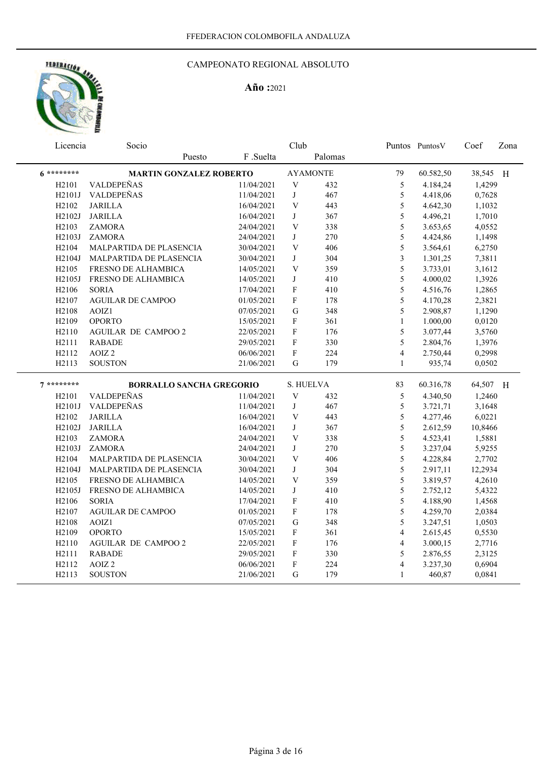

| Licencia           | Socio                           |            | Club                      |                 |                         | Puntos Puntos V | Coef     | Zona |
|--------------------|---------------------------------|------------|---------------------------|-----------------|-------------------------|-----------------|----------|------|
|                    | Puesto                          | F.Suelta   |                           | Palomas         |                         |                 |          |      |
| 6 *********        | <b>MARTIN GONZALEZ ROBERTO</b>  |            |                           | <b>AYAMONTE</b> | 79                      | 60.582,50       | 38,545 H |      |
| H <sub>2</sub> 101 | VALDEPEÑAS                      | 11/04/2021 | $\ensuremath{\mathbf{V}}$ | 432             | 5                       | 4.184,24        | 1,4299   |      |
| H2101J             | VALDEPEÑAS                      | 11/04/2021 | $\bf J$                   | 467             | 5                       | 4.418,06        | 0,7628   |      |
| H <sub>2102</sub>  | <b>JARILLA</b>                  | 16/04/2021 | $\ensuremath{\mathbf{V}}$ | 443             | 5                       | 4.642,30        | 1,1032   |      |
| H2102J             | <b>JARILLA</b>                  | 16/04/2021 | $\bf J$                   | 367             | 5                       | 4.496,21        | 1,7010   |      |
| H2103              | <b>ZAMORA</b>                   | 24/04/2021 | $\ensuremath{\mathbf{V}}$ | 338             | 5                       | 3.653,65        | 4,0552   |      |
| H2103J             | <b>ZAMORA</b>                   | 24/04/2021 | J                         | 270             | 5                       | 4.424,86        | 1,1498   |      |
| H <sub>2104</sub>  | <b>MALPARTIDA DE PLASENCIA</b>  | 30/04/2021 | $\ensuremath{\text{V}}$   | 406             | 5                       | 3.564,61        | 6,2750   |      |
| H2104J             | MALPARTIDA DE PLASENCIA         | 30/04/2021 | $\bf J$                   | 304             | $\overline{\mathbf{3}}$ | 1.301,25        | 7,3811   |      |
| H <sub>2105</sub>  | FRESNO DE ALHAMBICA             | 14/05/2021 | $\mathbf V$               | 359             | 5                       | 3.733,01        | 3,1612   |      |
| H <sub>2105J</sub> | FRESNO DE ALHAMBICA             | 14/05/2021 | J                         | 410             | 5                       | 4.000,02        | 1,3926   |      |
| H <sub>2106</sub>  | <b>SORIA</b>                    | 17/04/2021 | $\mathbf F$               | 410             | 5                       | 4.516,76        | 1,2865   |      |
| H2107              | <b>AGUILAR DE CAMPOO</b>        | 01/05/2021 | $\rm F$                   | 178             | 5                       | 4.170,28        | 2,3821   |      |
| H <sub>2108</sub>  | AOIZ1                           | 07/05/2021 | G                         | 348             | 5                       | 2.908,87        | 1,1290   |      |
| H <sub>2109</sub>  | <b>OPORTO</b>                   | 15/05/2021 | $\mathbf F$               | 361             | $\mathbf{1}$            | 1.000,00        | 0,0120   |      |
| H2110              | <b>AGUILAR DE CAMPOO 2</b>      | 22/05/2021 | $\rm F$                   | 176             | 5                       | 3.077,44        | 3,5760   |      |
| H2111              | <b>RABADE</b>                   | 29/05/2021 | $\rm F$                   | 330             | 5                       | 2.804,76        | 1,3976   |      |
| H2112              | AOIZ <sub>2</sub>               | 06/06/2021 | $\mathbf F$               | 224             | $\overline{4}$          | 2.750,44        | 0,2998   |      |
| H2113              | <b>SOUSTON</b>                  | 21/06/2021 | ${\bf G}$                 | 179             | $\mathbf{1}$            | 935,74          | 0,0502   |      |
| $7********$        | <b>BORRALLO SANCHA GREGORIO</b> |            |                           | S. HUELVA       | 83                      | 60.316,78       | 64,507 H |      |
| H <sub>2</sub> 101 | VALDEPEÑAS                      | 11/04/2021 | $\ensuremath{\mathbf{V}}$ | 432             | 5                       | 4.340,50        | 1,2460   |      |
| H2101J             | VALDEPEÑAS                      | 11/04/2021 | J                         | 467             | 5                       | 3.721,71        | 3,1648   |      |
| H <sub>2102</sub>  | <b>JARILLA</b>                  | 16/04/2021 | $\ensuremath{\text{V}}$   | 443             | 5                       | 4.277,46        | 6,0221   |      |
| H2102J             | <b>JARILLA</b>                  | 16/04/2021 | $_{\rm J}$                | 367             | 5                       | 2.612,59        | 10,8466  |      |
| H <sub>2</sub> 103 | <b>ZAMORA</b>                   | 24/04/2021 | $\ensuremath{\text{V}}$   | 338             | 5                       | 4.523,41        | 1,5881   |      |
| H2103J             | <b>ZAMORA</b>                   | 24/04/2021 | J                         | 270             | 5                       | 3.237,04        | 5,9255   |      |
| H <sub>2</sub> 104 | MALPARTIDA DE PLASENCIA         | 30/04/2021 | $\ensuremath{\mathbf{V}}$ | 406             | 5                       | 4.228,84        | 2,7702   |      |
| H2104J             | MALPARTIDA DE PLASENCIA         | 30/04/2021 | $\bf J$                   | 304             | 5                       | 2.917,11        | 12,2934  |      |
| H <sub>2105</sub>  | FRESNO DE ALHAMBICA             | 14/05/2021 | $\ensuremath{\mathbf{V}}$ | 359             | 5                       | 3.819,57        | 4,2610   |      |
| H2105J             | FRESNO DE ALHAMBICA             | 14/05/2021 | $\bf J$                   | 410             | 5                       | 2.752,12        | 5,4322   |      |
| H <sub>2106</sub>  | <b>SORIA</b>                    | 17/04/2021 | $\rm F$                   | 410             | 5                       | 4.188,90        | 1,4568   |      |
| H2107              | <b>AGUILAR DE CAMPOO</b>        | 01/05/2021 | $\rm F$                   | 178             | 5                       | 4.259,70        | 2,0384   |      |
| H <sub>2108</sub>  | AOIZ1                           | 07/05/2021 | ${\bf G}$                 | 348             | 5                       | 3.247,51        | 1,0503   |      |
| H2109              | <b>OPORTO</b>                   | 15/05/2021 | $\rm F$                   | 361             | $\overline{4}$          | 2.615,45        | 0,5530   |      |
| H <sub>2110</sub>  | <b>AGUILAR DE CAMPOO 2</b>      | 22/05/2021 | $\rm F$                   | 176             | $\overline{4}$          | 3.000,15        | 2,7716   |      |
| H2111              | <b>RABADE</b>                   | 29/05/2021 | $\mathbf F$               | 330             | 5                       | 2.876,55        | 2,3125   |      |
| H2112              | AOIZ <sub>2</sub>               | 06/06/2021 | $\rm F$                   | 224             | $\overline{\mathbf{4}}$ | 3.237,30        | 0,6904   |      |
| H2113              | <b>SOUSTON</b>                  | 21/06/2021 | $\mathbf G$               | 179             | $\mathbf{1}$            | 460,87          | 0,0841   |      |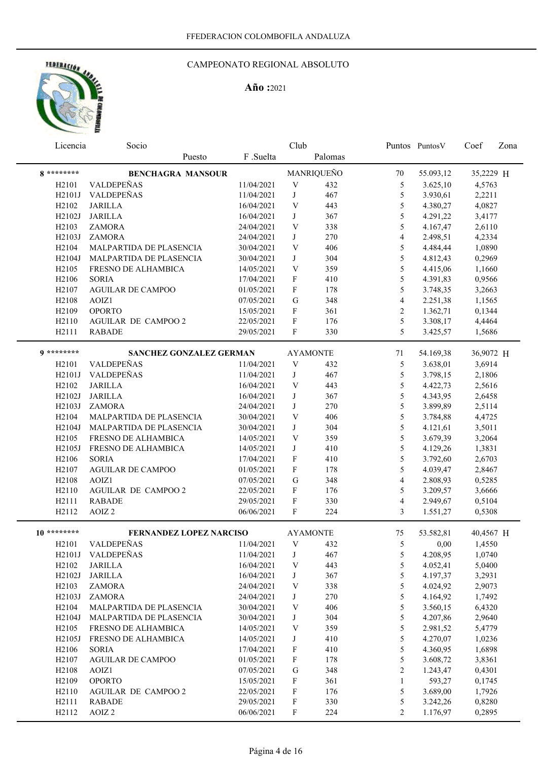

| Licencia                       | Socio                                       |            | Club                      |                 |                | Puntos PuntosV | Coef      | Zona |
|--------------------------------|---------------------------------------------|------------|---------------------------|-----------------|----------------|----------------|-----------|------|
|                                | Puesto                                      | F.Suelta   |                           | Palomas         |                |                |           |      |
| 8 *********                    | <b>BENCHAGRA MANSOUR</b>                    |            |                           | MANRIQUEÑO      | 70             | 55.093,12      | 35,2229 H |      |
| H <sub>2</sub> 101             | VALDEPEÑAS                                  | 11/04/2021 | $\mathbf V$               | 432             | 5              | 3.625,10       | 4,5763    |      |
| H2101J                         | VALDEPEÑAS                                  | 11/04/2021 | $\bf J$                   | 467             | 5              | 3.930,61       | 2,2211    |      |
| H <sub>2</sub> 10 <sub>2</sub> | <b>JARILLA</b>                              | 16/04/2021 | $\ensuremath{\mathbf{V}}$ | 443             | 5              | 4.380,27       | 4,0827    |      |
| H2102J                         | <b>JARILLA</b>                              | 16/04/2021 | J                         | 367             | 5              | 4.291,22       | 3,4177    |      |
| H2103                          | ZAMORA                                      | 24/04/2021 | $\ensuremath{\mathbf{V}}$ | 338             | 5              | 4.167,47       | 2,6110    |      |
| H2103J                         | ZAMORA                                      | 24/04/2021 | J                         | 270             | $\overline{4}$ | 2.498,51       | 4,2334    |      |
| H <sub>2</sub> 104             | MALPARTIDA DE PLASENCIA                     | 30/04/2021 | $\ensuremath{\mathbf{V}}$ | 406             | 5              | 4.484,44       | 1,0890    |      |
| H2104J                         | MALPARTIDA DE PLASENCIA                     | 30/04/2021 | J                         | 304             | 5              | 4.812,43       | 0,2969    |      |
| H2105                          | FRESNO DE ALHAMBICA                         | 14/05/2021 | V                         | 359             | 5              | 4.415,06       | 1,1660    |      |
| H2106                          | <b>SORIA</b>                                | 17/04/2021 | F                         | 410             | 5              | 4.391,83       | 0,9566    |      |
| H <sub>2107</sub>              | <b>AGUILAR DE CAMPOO</b>                    | 01/05/2021 | $\mathbf F$               | 178             | 5              | 3.748,35       | 3,2663    |      |
| H <sub>2108</sub>              | AOIZ1                                       | 07/05/2021 | ${\bf G}$                 | 348             | $\overline{4}$ | 2.251,38       |           |      |
|                                |                                             |            |                           |                 | $\overline{2}$ |                | 1,1565    |      |
| H2109                          | <b>OPORTO</b><br><b>AGUILAR DE CAMPOO 2</b> | 15/05/2021 | $\mathbf F$               | 361             | 5              | 1.362,71       | 0,1344    |      |
| H2110                          |                                             | 22/05/2021 | $\boldsymbol{\mathrm{F}}$ | 176             |                | 3.308,17       | 4,4464    |      |
| H2111                          | <b>RABADE</b>                               | 29/05/2021 | F                         | 330             | 5              | 3.425,57       | 1,5686    |      |
| $9*******$                     | <b>SANCHEZ GONZALEZ GERMAN</b>              |            |                           | <b>AYAMONTE</b> | 71             | 54.169,38      | 36,9072 H |      |
| H <sub>2101</sub>              | VALDEPEÑAS                                  | 11/04/2021 | V                         | 432             | 5              | 3.638,01       | 3,6914    |      |
| H2101J                         | VALDEPEÑAS                                  | 11/04/2021 | J                         | 467             | 5              | 3.798,15       | 2,1806    |      |
| H2102                          | <b>JARILLA</b>                              | 16/04/2021 | $\ensuremath{\mathbf{V}}$ | 443             | 5              | 4.422,73       | 2,5616    |      |
| H2102J                         | <b>JARILLA</b>                              | 16/04/2021 | J                         | 367             | 5              | 4.343,95       | 2,6458    |      |
| H2103J                         | <b>ZAMORA</b>                               | 24/04/2021 | J                         | 270             | 5              | 3.899,89       | 2,5114    |      |
| H <sub>2</sub> 104             | MALPARTIDA DE PLASENCIA                     | 30/04/2021 | $\ensuremath{\mathbf{V}}$ | 406             | 5              | 3.784,88       | 4,4725    |      |
| H2104J                         | MALPARTIDA DE PLASENCIA                     | 30/04/2021 | J                         | 304             | 5              | 4.121,61       | 3,5011    |      |
| H <sub>2105</sub>              | FRESNO DE ALHAMBICA                         | 14/05/2021 | $\ensuremath{\mathbf{V}}$ | 359             | 5              | 3.679,39       | 3,2064    |      |
| H2105J                         | FRESNO DE ALHAMBICA                         | 14/05/2021 | $\bf J$                   | 410             | 5              | 4.129,26       | 1,3831    |      |
| H <sub>2106</sub>              | <b>SORIA</b>                                | 17/04/2021 | $\mathbf F$               | 410             | 5              | 3.792,60       | 2,6703    |      |
| H <sub>2107</sub>              | <b>AGUILAR DE CAMPOO</b>                    | 01/05/2021 | $\boldsymbol{\mathrm{F}}$ | 178             | 5              | 4.039,47       | 2,8467    |      |
| H <sub>2108</sub>              | AOIZ1                                       | 07/05/2021 | ${\bf G}$                 | 348             | $\overline{4}$ | 2.808,93       | 0,5285    |      |
| H2110                          | AGUILAR DE CAMPOO 2                         | 22/05/2021 | $\mathbf F$               | 176             | 5              | 3.209,57       | 3,6666    |      |
| H2111                          | <b>RABADE</b>                               | 29/05/2021 | $\boldsymbol{\mathrm{F}}$ | 330             | $\overline{4}$ | 2.949,67       | 0,5104    |      |
| H2112                          | AOIZ <sub>2</sub>                           | 06/06/2021 | $\boldsymbol{\mathrm{F}}$ | 224             | 3              | 1.551,27       | 0,5308    |      |
|                                |                                             |            |                           |                 |                |                |           |      |
| $10*******$                    | <b>FERNANDEZ LOPEZ NARCISO</b>              |            |                           | <b>AYAMONTE</b> | 75             | 53.582,81      | 40,4567 H |      |
| H <sub>2</sub> 101             | <b>VALDEPEÑAS</b>                           | 11/04/2021 | V                         | 432             | 5 <sub>1</sub> | 0,00           | 1,4550    |      |
|                                | H2101J VALDEPEÑAS                           | 11/04/2021 | J                         | 467             | 5              | 4.208,95       | 1,0740    |      |
| H <sub>2</sub> 10 <sub>2</sub> | JARILLA                                     | 16/04/2021 | V                         | 443             | 5 <sup>5</sup> | 4.052,41       | 5,0400    |      |
| H2102J                         | JARILLA                                     | 16/04/2021 | J                         | 367             | 5              | 4.197,37       | 3,2931    |      |
| H <sub>2103</sub>              | <b>ZAMORA</b>                               | 24/04/2021 | V                         | 338             | 5              | 4.024,92       | 2,9073    |      |
| H2103J                         | <b>ZAMORA</b>                               | 24/04/2021 | J                         | 270             | 5              | 4.164,92       | 1,7492    |      |
| H <sub>2</sub> 104             | MALPARTIDA DE PLASENCIA                     | 30/04/2021 | V                         | 406             | 5              | 3.560,15       | 6,4320    |      |
| H2104J                         | MALPARTIDA DE PLASENCIA                     | 30/04/2021 | J                         | 304             | 5              | 4.207,86       | 2,9640    |      |
| H <sub>2105</sub>              | FRESNO DE ALHAMBICA                         | 14/05/2021 | V                         | 359             | 5              | 2.981,52       | 5,4779    |      |
| H2105J                         | FRESNO DE ALHAMBICA                         | 14/05/2021 | J                         | 410             | 5              | 4.270,07       | 1,0236    |      |
| H <sub>2106</sub>              | <b>SORIA</b>                                | 17/04/2021 | $\boldsymbol{F}$          | 410             | $\mathfrak{S}$ | 4.360,95       | 1,6898    |      |
| H <sub>2107</sub>              | <b>AGUILAR DE CAMPOO</b>                    | 01/05/2021 | $\boldsymbol{F}$          | 178             | 5              | 3.608,72       | 3,8361    |      |
| H <sub>2108</sub>              | AOIZ1                                       | 07/05/2021 | G                         | 348             | $\overline{2}$ | 1.243,47       | 0,4301    |      |
| H <sub>2109</sub>              | <b>OPORTO</b>                               | 15/05/2021 | $\boldsymbol{F}$          | 361             | $\mathbf{1}$   | 593,27         | 0,1745    |      |
| H <sub>2110</sub>              | AGUILAR DE CAMPOO 2                         | 22/05/2021 | $\boldsymbol{F}$          | 176             | 5              | 3.689,00       | 1,7926    |      |
| H2111                          | <b>RABADE</b>                               | 29/05/2021 | $\boldsymbol{F}$          | 330             | 5              | 3.242,26       | 0,8280    |      |
| H2112                          | AOIZ <sub>2</sub>                           | 06/06/2021 | $\mathbf{F}$              | 224             | $\overline{2}$ | 1.176,97       | 0,2895    |      |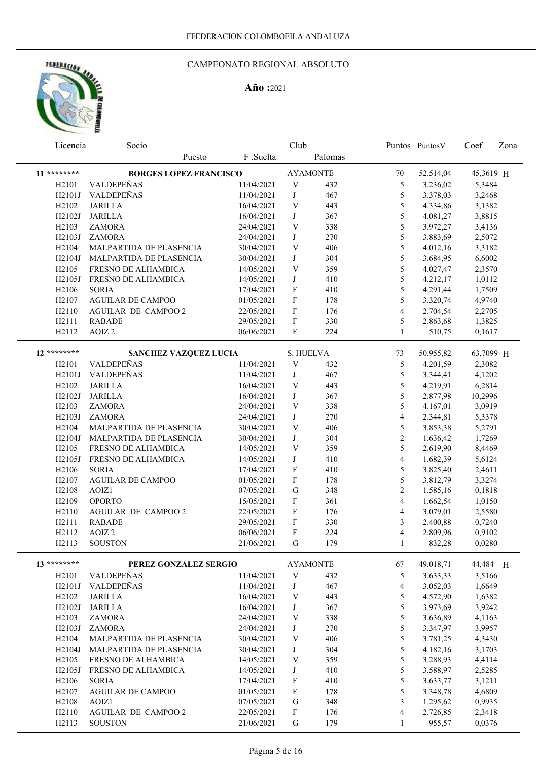

| Licencia                                 | Socio                         |                          | Club                      |                 |                         | Puntos Puntos V | Coef      | Zona |
|------------------------------------------|-------------------------------|--------------------------|---------------------------|-----------------|-------------------------|-----------------|-----------|------|
|                                          | Puesto                        | F .Suelta                |                           | Palomas         |                         |                 |           |      |
| 11 ********                              | <b>BORGES LOPEZ FRANCISCO</b> |                          |                           | <b>AYAMONTE</b> | 70                      | 52.514,04       | 45,3619 H |      |
| H <sub>2</sub> 101                       | VALDEPEÑAS                    | 11/04/2021               | $\ensuremath{\text{V}}$   | 432             | 5                       | 3.236,02        | 5,3484    |      |
| H2101J                                   | VALDEPEÑAS                    | 11/04/2021               | $\bf J$                   | 467             | 5                       | 3.378,03        | 3,2468    |      |
| H <sub>2</sub> 10 <sub>2</sub>           | <b>JARILLA</b>                | 16/04/2021               | $\ensuremath{\mathbf{V}}$ | 443             | 5                       | 4.334,86        | 3,1382    |      |
| H2102J                                   | <b>JARILLA</b>                | 16/04/2021               | J                         | 367             | 5                       | 4.081,27        | 3,8815    |      |
| H <sub>2</sub> 103                       | ZAMORA                        | 24/04/2021               | $\ensuremath{\mathbf{V}}$ | 338             | 5                       | 3.972,27        | 3,4136    |      |
| H2103J                                   | ZAMORA                        | 24/04/2021               | J                         | 270             | 5                       | 3.883,69        | 2,5072    |      |
| H <sub>2</sub> 104                       | MALPARTIDA DE PLASENCIA       |                          | $\ensuremath{\mathbf{V}}$ | 406             | 5                       | 4.012,16        | 3,3182    |      |
| H2104J                                   | MALPARTIDA DE PLASENCIA       | 30/04/2021<br>30/04/2021 |                           | 304             | 5                       | 3.684,95        |           |      |
|                                          |                               | 14/05/2021               | J                         |                 | 5                       | 4.027,47        | 6,6002    |      |
| H <sub>2105</sub>                        | FRESNO DE ALHAMBICA           |                          | $\ensuremath{\mathbf{V}}$ | 359             |                         |                 | 2,3570    |      |
| H2105J                                   | FRESNO DE ALHAMBICA           | 14/05/2021               | J                         | 410             | 5                       | 4.212,17        | 1,0112    |      |
| H <sub>2106</sub>                        | <b>SORIA</b>                  | 17/04/2021               | $\boldsymbol{\mathrm{F}}$ | 410             | 5                       | 4.291,44        | 1,7509    |      |
| H <sub>2107</sub>                        | <b>AGUILAR DE CAMPOO</b>      | 01/05/2021               | $\mathbf F$               | 178             | 5                       | 3.320,74        | 4,9740    |      |
| H2110                                    | <b>AGUILAR DE CAMPOO 2</b>    | 22/05/2021               | $\boldsymbol{\mathrm{F}}$ | 176             | $\overline{4}$          | 2.704,54        | 2,2705    |      |
| H2111                                    | <b>RABADE</b>                 | 29/05/2021               | $\boldsymbol{\mathrm{F}}$ | 330             | 5                       | 2.863,68        | 1,3825    |      |
| H2112                                    | AOIZ <sub>2</sub>             | 06/06/2021               | $\mathbf F$               | 224             | $\mathbf{1}$            | 510,75          | 0,1617    |      |
| $12$ ********                            | SANCHEZ VAZQUEZ LUCIA         |                          |                           | S. HUELVA       | 73                      | 50.955,82       | 63,7099 H |      |
| H <sub>2</sub> 101                       | VALDEPEÑAS                    | 11/04/2021               | V                         | 432             | 5                       | 4.201,59        | 2,3082    |      |
| H2101J                                   | VALDEPEÑAS                    | 11/04/2021               | $\bf J$                   | 467             | 5                       | 3.344,41        | 4,1202    |      |
| H <sub>2</sub> 10 <sub>2</sub>           |                               |                          |                           |                 | 5                       | 4.219,91        |           |      |
|                                          | <b>JARILLA</b>                | 16/04/2021               | $\ensuremath{\mathbf{V}}$ | 443             | 5                       |                 | 6,2814    |      |
| H2102J<br>H <sub>2</sub> 103             | <b>JARILLA</b>                | 16/04/2021               | J                         | 367             |                         | 2.877,98        | 10,2996   |      |
|                                          | <b>ZAMORA</b>                 | 24/04/2021               | $\ensuremath{\mathbf{V}}$ | 338             | 5                       | 4.167,01        | 3,0919    |      |
| H2103J                                   | <b>ZAMORA</b>                 | 24/04/2021               | J                         | 270             | $\overline{\mathbf{4}}$ | 2.344,81        | 5,3378    |      |
| H <sub>2</sub> 104                       | MALPARTIDA DE PLASENCIA       | 30/04/2021               | $\ensuremath{\mathbf{V}}$ | 406             | $\sqrt{5}$              | 3.853,38        | 5,2791    |      |
| H2104J                                   | MALPARTIDA DE PLASENCIA       | 30/04/2021               | J                         | 304             | $\overline{2}$          | 1.636,42        | 1,7269    |      |
| H <sub>2</sub> 105                       | FRESNO DE ALHAMBICA           | 14/05/2021               | $\ensuremath{\mathbf{V}}$ | 359             | 5                       | 2.619,90        | 8,4469    |      |
| H2105J                                   | FRESNO DE ALHAMBICA           | 14/05/2021               | J                         | 410             | $\overline{4}$          | 1.682,39        | 5,6124    |      |
| H <sub>2106</sub>                        | <b>SORIA</b>                  | 17/04/2021               | $\mathbf F$               | 410             | 5                       | 3.825,40        | 2,4611    |      |
| H <sub>2107</sub>                        | <b>AGUILAR DE CAMPOO</b>      | 01/05/2021               | $\boldsymbol{\mathrm{F}}$ | 178             | 5                       | 3.812,79        | 3,3274    |      |
| H2108                                    | AOIZ1                         | 07/05/2021               | G                         | 348             | $\overline{2}$          | 1.585,16        | 0,1818    |      |
| H2109                                    | <b>OPORTO</b>                 | 15/05/2021               | $\boldsymbol{\mathrm{F}}$ | 361             | $\overline{4}$          | 1.662,54        | 1,0150    |      |
| H2110                                    | <b>AGUILAR DE CAMPOO 2</b>    | 22/05/2021               | $\boldsymbol{\mathrm{F}}$ | 176             | $\overline{4}$          | 3.079,01        | 2,5580    |      |
| H2111                                    | <b>RABADE</b>                 | 29/05/2021               | $\mathbf F$               | 330             | 3                       | 2.400,88        | 0,7240    |      |
| H2112                                    | AOIZ <sub>2</sub>             | 06/06/2021               | $\mathbf F$               | 224             | $\overline{4}$          | 2.809,96        | 0,9102    |      |
| H2113                                    | <b>SOUSTON</b>                | 21/06/2021               | G                         | 179             | $\mathbf{1}$            | 832,28          | 0,0280    |      |
| $13*******$                              | PEREZ GONZALEZ SERGIO         |                          |                           | <b>AYAMONTE</b> | 67                      | 49.018,71       | 44,484    | H    |
|                                          | VALDEPEÑAS                    | 11/04/2021               | V                         | 432             | 5                       | 3.633,33        | 3,5166    |      |
| H <sub>2</sub> 101                       | VALDEPEÑAS                    |                          |                           |                 |                         |                 |           |      |
| H2101J<br>H <sub>2</sub> 10 <sub>2</sub> |                               | 11/04/2021<br>16/04/2021 | J                         | 467             | $\overline{4}$          | 3.052,03        | 1,6649    |      |
|                                          | <b>JARILLA</b>                |                          | $\ensuremath{\mathbf{V}}$ | 443             | 5                       | 4.572,90        | 1,6382    |      |
| H2102J                                   | <b>JARILLA</b>                | 16/04/2021               | J                         | 367             | 5                       | 3.973,69        | 3,9242    |      |
| H2103                                    | ZAMORA                        | 24/04/2021               | $\ensuremath{\mathbf{V}}$ | 338             | 5                       | 3.636,89        | 4,1163    |      |
| H2103J                                   | <b>ZAMORA</b>                 | 24/04/2021               | J                         | 270             | $\mathfrak s$           | 3.347,97        | 3,9957    |      |
| H <sub>2</sub> 104                       | MALPARTIDA DE PLASENCIA       | 30/04/2021               | $\ensuremath{\text{V}}$   | 406             | $\mathfrak s$           | 3.781,25        | 4,3430    |      |
| H2104J                                   | MALPARTIDA DE PLASENCIA       | 30/04/2021               | J                         | 304             | 5                       | 4.182,16        | 3,1703    |      |
| H <sub>2105</sub>                        | FRESNO DE ALHAMBICA           | 14/05/2021               | $\ensuremath{\text{V}}$   | 359             | $\mathfrak s$           | 3.288,93        | 4,4114    |      |
| H2105J                                   | FRESNO DE ALHAMBICA           | 14/05/2021               | J                         | 410             | 5                       | 3.588,97        | 2,5285    |      |
| H <sub>2106</sub>                        | <b>SORIA</b>                  | 17/04/2021               | $\boldsymbol{\mathrm{F}}$ | 410             | 5                       | 3.633,77        | 3,1211    |      |
| H2107                                    | <b>AGUILAR DE CAMPOO</b>      | 01/05/2021               | $\boldsymbol{\mathrm{F}}$ | 178             | $\mathfrak s$           | 3.348,78        | 4,6809    |      |
| H2108                                    | AOIZ1                         | 07/05/2021               | $\mathbf G$               | 348             | 3                       | 1.295,62        | 0,9935    |      |
| H2110                                    | <b>AGUILAR DE CAMPOO 2</b>    | 22/05/2021               | F                         | 176             | 4                       | 2.726,85        | 2,3418    |      |
| H2113                                    | <b>SOUSTON</b>                | 21/06/2021               | $\mathbf G$               | 179             | $\mathbf{1}$            | 955,57          | 0,0376    |      |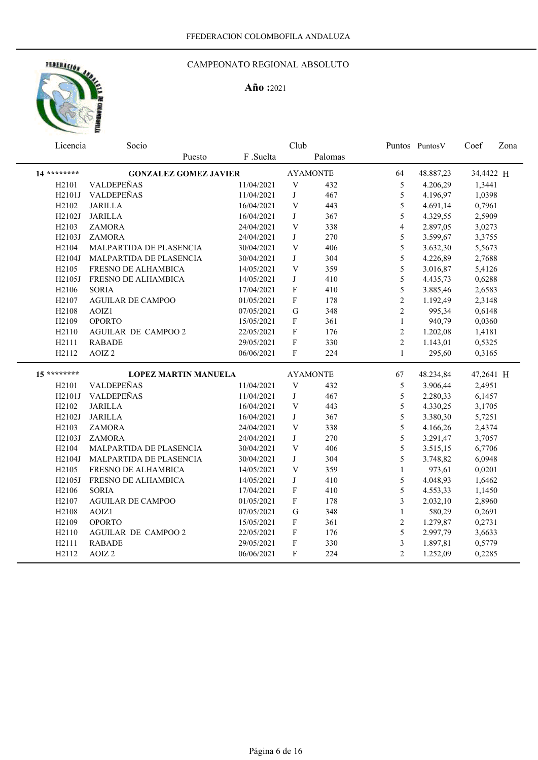

| Licencia           | Socio                        |            | Club                      |                 |                | Puntos Puntos V | Coef<br>Zona |  |
|--------------------|------------------------------|------------|---------------------------|-----------------|----------------|-----------------|--------------|--|
|                    | Puesto                       | F.Suelta   |                           | Palomas         |                |                 |              |  |
| 14 ********        | <b>GONZALEZ GOMEZ JAVIER</b> |            |                           | <b>AYAMONTE</b> | 64             | 48.887,23       | 34,4422 H    |  |
| H <sub>2101</sub>  | VALDEPEÑAS                   | 11/04/2021 | $\mathbf V$               | 432             | 5              | 4.206,29        | 1,3441       |  |
| H2101J             | VALDEPEÑAS                   | 11/04/2021 | J                         | 467             | 5              | 4.196,97        | 1,0398       |  |
| H2102              | <b>JARILLA</b>               | 16/04/2021 | $\ensuremath{\mathbf{V}}$ | 443             | 5              | 4.691,14        | 0,7961       |  |
| H2102J             | <b>JARILLA</b>               | 16/04/2021 | J                         | 367             | 5              | 4.329,55        | 2,5909       |  |
| H2103              | <b>ZAMORA</b>                | 24/04/2021 | $\mathbf V$               | 338             | $\overline{4}$ | 2.897,05        | 3,0273       |  |
| H2103J             | ZAMORA                       | 24/04/2021 | J                         | 270             | 5              | 3.599,67        | 3,3755       |  |
| H <sub>2</sub> 104 | MALPARTIDA DE PLASENCIA      | 30/04/2021 | V                         | 406             | 5              | 3.632,30        | 5,5673       |  |
| H2104J             | MALPARTIDA DE PLASENCIA      | 30/04/2021 | J                         | 304             | 5              | 4.226,89        | 2,7688       |  |
| H <sub>2105</sub>  | FRESNO DE ALHAMBICA          | 14/05/2021 | V                         | 359             | 5              | 3.016,87        | 5,4126       |  |
| H2105J             | FRESNO DE ALHAMBICA          | 14/05/2021 | J                         | 410             | 5              | 4.435,73        | 0,6288       |  |
| H <sub>2106</sub>  | <b>SORIA</b>                 | 17/04/2021 | $\boldsymbol{\mathrm{F}}$ | 410             | 5              | 3.885,46        | 2,6583       |  |
| H <sub>2107</sub>  | <b>AGUILAR DE CAMPOO</b>     | 01/05/2021 | F                         | 178             | $\overline{2}$ | 1.192,49        | 2,3148       |  |
| H <sub>2108</sub>  | AOIZ1                        | 07/05/2021 | ${\bf G}$                 | 348             | $\overline{2}$ | 995,34          | 0,6148       |  |
| H2109              | <b>OPORTO</b>                | 15/05/2021 | F                         | 361             | $\mathbf{1}$   | 940,79          | 0,0360       |  |
| H2110              | <b>AGUILAR DE CAMPOO 2</b>   | 22/05/2021 | $\mathbf F$               | 176             | $\overline{2}$ | 1.202,08        | 1,4181       |  |
| H2111              | <b>RABADE</b>                | 29/05/2021 | $\mathbf F$               | 330             | $\overline{2}$ | 1.143,01        | 0,5325       |  |
| H2112              | AOIZ <sub>2</sub>            | 06/06/2021 | $\mathbf F$               | 224             | $\mathbf{1}$   | 295,60          | 0,3165       |  |
| $15******$         | <b>LOPEZ MARTIN MANUELA</b>  |            |                           | <b>AYAMONTE</b> | 67             | 48.234,84       | 47,2641 H    |  |
| H <sub>2101</sub>  | VALDEPEÑAS                   | 11/04/2021 | $\ensuremath{\text{V}}$   | 432             | 5              | 3.906,44        | 2,4951       |  |
| H2101J             | VALDEPEÑAS                   | 11/04/2021 | J                         | 467             | 5              | 2.280,33        | 6,1457       |  |
| H2102              | <b>JARILLA</b>               | 16/04/2021 | V                         | 443             | 5              | 4.330,25        | 3,1705       |  |
| H2102J             | <b>JARILLA</b>               | 16/04/2021 | J                         | 367             | 5              | 3.380,30        | 5,7251       |  |
| H2103              | ZAMORA                       | 24/04/2021 | $\mathbf V$               | 338             | 5              | 4.166,26        | 2,4374       |  |
| H2103J             | <b>ZAMORA</b>                | 24/04/2021 | J                         | 270             | 5              | 3.291,47        | 3,7057       |  |
| H <sub>2</sub> 104 | MALPARTIDA DE PLASENCIA      | 30/04/2021 | $\ensuremath{\mathbf{V}}$ | 406             | 5              | 3.515,15        | 6,7706       |  |
| H2104J             | MALPARTIDA DE PLASENCIA      | 30/04/2021 | J                         | 304             | 5              | 3.748,82        | 6,0948       |  |
| H <sub>2105</sub>  | FRESNO DE ALHAMBICA          | 14/05/2021 | $\mathbf V$               | 359             | $\mathbf{1}$   | 973,61          | 0,0201       |  |
| H2105J             | FRESNO DE ALHAMBICA          | 14/05/2021 | J                         | 410             | 5              | 4.048,93        | 1,6462       |  |
| H2106              | <b>SORIA</b>                 | 17/04/2021 | $\mathbf{F}$              | 410             | 5              | 4.553,33        | 1,1450       |  |
| H <sub>2107</sub>  | <b>AGUILAR DE CAMPOO</b>     | 01/05/2021 | F                         | 178             | 3              | 2.032,10        | 2,8960       |  |
| H2108              | AOIZ1                        | 07/05/2021 | G                         | 348             | $\mathbf{1}$   | 580,29          | 0,2691       |  |
| H <sub>2109</sub>  | <b>OPORTO</b>                | 15/05/2021 | $\boldsymbol{\mathrm{F}}$ | 361             | $\overline{2}$ | 1.279,87        | 0,2731       |  |
| H <sub>2110</sub>  | <b>AGUILAR DE CAMPOO 2</b>   | 22/05/2021 | $\mathbf F$               | 176             | 5              | 2.997,79        | 3,6633       |  |
| H2111              | <b>RABADE</b>                | 29/05/2021 | $\mathbf F$               | 330             | 3              | 1.897,81        | 0,5779       |  |
| H2112              | AOIZ <sub>2</sub>            | 06/06/2021 | ${\bf F}$                 | 224             | $\overline{2}$ | 1.252,09        | 0,2285       |  |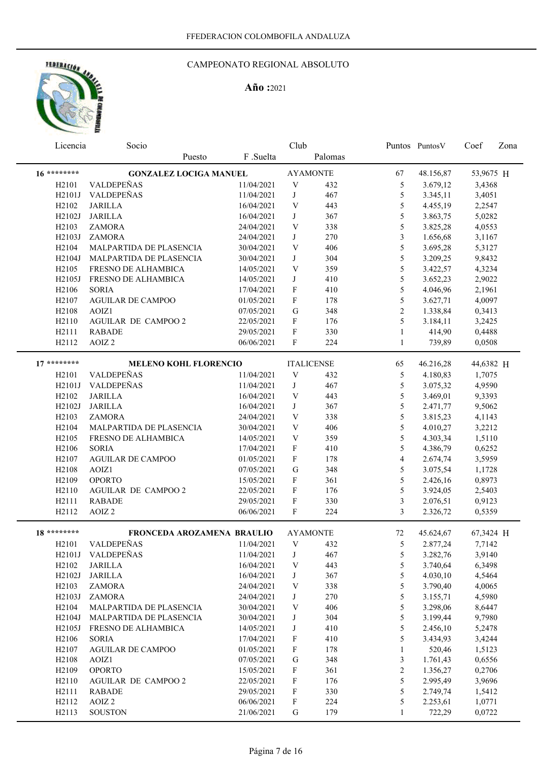

| Licencia                       | Socio                         |            | Club                      |                   |                         | Puntos PuntosV | Coef      | Zona |
|--------------------------------|-------------------------------|------------|---------------------------|-------------------|-------------------------|----------------|-----------|------|
|                                | Puesto                        | F .Suelta  |                           | Palomas           |                         |                |           |      |
| 16 ********                    | <b>GONZALEZ LOCIGA MANUEL</b> |            |                           | <b>AYAMONTE</b>   | 67                      | 48.156,87      | 53,9675 H |      |
| H <sub>2101</sub>              | VALDEPEÑAS                    | 11/04/2021 | V                         | 432               | 5                       | 3.679,12       | 3,4368    |      |
| H2101J                         | VALDEPEÑAS                    | 11/04/2021 | $\bf J$                   | 467               | 5                       | 3.345,11       | 3,4051    |      |
| H2102                          | <b>JARILLA</b>                | 16/04/2021 | $\ensuremath{\text{V}}$   | 443               | 5                       | 4.455,19       | 2,2547    |      |
| H2102J                         | <b>JARILLA</b>                | 16/04/2021 | J                         | 367               | 5                       | 3.863,75       | 5,0282    |      |
| H <sub>2103</sub>              | <b>ZAMORA</b>                 | 24/04/2021 | $\ensuremath{\text{V}}$   | 338               | 5                       | 3.825,28       | 4,0553    |      |
| H2103J                         | <b>ZAMORA</b>                 | 24/04/2021 | J                         | 270               | 3                       | 1.656,68       | 3,1167    |      |
| H <sub>2104</sub>              | MALPARTIDA DE PLASENCIA       | 30/04/2021 | $\ensuremath{\text{V}}$   | 406               | 5                       | 3.695,28       | 5,3127    |      |
| H2104J                         | MALPARTIDA DE PLASENCIA       | 30/04/2021 | J                         | 304               | 5                       | 3.209,25       | 9,8432    |      |
| H <sub>2105</sub>              | FRESNO DE ALHAMBICA           | 14/05/2021 | $\ensuremath{\text{V}}$   | 359               | 5                       | 3.422,57       | 4,3234    |      |
| H2105J                         | FRESNO DE ALHAMBICA           | 14/05/2021 | J                         | 410               | 5                       | 3.652,23       | 2,9022    |      |
| H <sub>2106</sub>              | <b>SORIA</b>                  | 17/04/2021 | $\boldsymbol{\mathrm{F}}$ | 410               | 5                       | 4.046,96       | 2,1961    |      |
| H2107                          | <b>AGUILAR DE CAMPOO</b>      | 01/05/2021 | F                         | 178               | 5                       | 3.627,71       | 4,0097    |      |
| H <sub>2108</sub>              | AOIZ1                         | 07/05/2021 | G                         | 348               | $\overline{2}$          | 1.338,84       | 0,3413    |      |
| H2110                          | AGUILAR DE CAMPOO 2           | 22/05/2021 | F                         | 176               | 5                       | 3.184,11       | 3,2425    |      |
| H2111                          | <b>RABADE</b>                 | 29/05/2021 | F                         | 330               | $\mathbf{1}$            | 414,90         | 0,4488    |      |
| H2112                          | AOIZ <sub>2</sub>             | 06/06/2021 | F                         | 224               | $\mathbf{1}$            | 739,89         | 0,0508    |      |
|                                |                               |            |                           |                   |                         |                |           |      |
| $17******$                     | <b>MELENO KOHL FLORENCIO</b>  |            |                           | <b>ITALICENSE</b> | 65                      | 46.216,28      | 44,6382 H |      |
| H <sub>2101</sub>              | VALDEPEÑAS                    | 11/04/2021 | $\ensuremath{\text{V}}$   | 432               | 5                       | 4.180,83       | 1,7075    |      |
| H2101J                         | VALDEPEÑAS                    | 11/04/2021 | J                         | 467               | 5                       | 3.075,32       | 4,9590    |      |
| H <sub>2</sub> 10 <sub>2</sub> | <b>JARILLA</b>                | 16/04/2021 | $\ensuremath{\text{V}}$   | 443               | 5                       | 3.469,01       | 9,3393    |      |
| H2102J                         | <b>JARILLA</b>                | 16/04/2021 | J                         | 367               | 5                       | 2.471,77       | 9,5062    |      |
| H2103                          | <b>ZAMORA</b>                 | 24/04/2021 | $\ensuremath{\text{V}}$   | 338               | 5                       | 3.815,23       | 4,1143    |      |
| H <sub>2</sub> 104             | MALPARTIDA DE PLASENCIA       | 30/04/2021 | $\ensuremath{\mathbf{V}}$ | 406               | 5                       | 4.010,27       | 3,2212    |      |
| H <sub>2105</sub>              | FRESNO DE ALHAMBICA           | 14/05/2021 | $\ensuremath{\text{V}}$   | 359               | 5                       | 4.303,34       | 1,5110    |      |
| H <sub>2106</sub>              | <b>SORIA</b>                  | 17/04/2021 | $\boldsymbol{\mathrm{F}}$ | 410               | 5                       | 4.386,79       | 0,6252    |      |
| H2107                          | <b>AGUILAR DE CAMPOO</b>      | 01/05/2021 | $\boldsymbol{\mathrm{F}}$ | 178               | $\overline{\mathbf{4}}$ | 2.674,74       | 3,5959    |      |
| H <sub>2108</sub>              | AOIZ1                         | 07/05/2021 | G                         | 348               | 5                       | 3.075,54       | 1,1728    |      |
| H2109                          | <b>OPORTO</b>                 | 15/05/2021 | $\boldsymbol{\mathrm{F}}$ | 361               | 5                       | 2.426,16       | 0,8973    |      |
| H <sub>2110</sub>              | AGUILAR DE CAMPOO 2           | 22/05/2021 | $\boldsymbol{\mathrm{F}}$ | 176               | 5                       | 3.924,05       | 2,5403    |      |
| H2111                          | <b>RABADE</b>                 | 29/05/2021 | $\boldsymbol{\mathrm{F}}$ | 330               | $\mathfrak{Z}$          | 2.076,51       | 0,9123    |      |
| H2112                          | AOIZ <sub>2</sub>             | 06/06/2021 | F                         | 224               | $\overline{3}$          | 2.326,72       | 0,5359    |      |
|                                |                               |            |                           |                   |                         |                |           |      |
| 18 ********                    | FRONCEDA AROZAMENA BRAULIO    |            |                           | <b>AYAMONTE</b>   | 72                      | 45.624,67      | 67,3424 H |      |
| H <sub>2</sub> 101             | VALDEPEÑAS                    | 11/04/2021 | V                         | 432               | 5                       | 2.877,24       | 7,7142    |      |
|                                | H2101J VALDEPEÑAS             | 11/04/2021 | J                         | 467               | 5                       | 3.282,76       | 3,9140    |      |
| H2102                          | <b>JARILLA</b>                | 16/04/2021 | V                         | 443               | 5                       | 3.740,64       | 6,3498    |      |
| H2102J                         | <b>JARILLA</b>                | 16/04/2021 | J                         | 367               | 5                       | 4.030,10       | 4,5464    |      |
| H2103                          | <b>ZAMORA</b>                 | 24/04/2021 | $\ensuremath{\text{V}}$   | 338               | 5                       | 3.790,40       | 4,0065    |      |
| H2103J                         | <b>ZAMORA</b>                 | 24/04/2021 | J                         | 270               | 5                       | 3.155,71       | 4,5980    |      |
| H <sub>2</sub> 104             | MALPARTIDA DE PLASENCIA       | 30/04/2021 | V                         | 406               | 5                       | 3.298,06       | 8,6447    |      |
| H2104J                         | MALPARTIDA DE PLASENCIA       | 30/04/2021 | J                         | 304               | 5                       | 3.199,44       | 9,7980    |      |
| H2105J                         | FRESNO DE ALHAMBICA           | 14/05/2021 | $\bf J$                   | 410               | 5                       | 2.456,10       | 5,2478    |      |
| H <sub>2106</sub>              | <b>SORIA</b>                  | 17/04/2021 | $\mathbf F$               | 410               | 5                       | 3.434,93       | 3,4244    |      |
| H <sub>2107</sub>              | <b>AGUILAR DE CAMPOO</b>      | 01/05/2021 | $\boldsymbol{\mathrm{F}}$ | 178               | $\mathbf{1}$            | 520,46         | 1,5123    |      |
| H2108                          | AOIZ1                         | 07/05/2021 | G                         | 348               | 3                       | 1.761,43       | 0,6556    |      |
| H2109                          | <b>OPORTO</b>                 | 15/05/2021 | $\boldsymbol{\mathrm{F}}$ | 361               | $\overline{c}$          | 1.356,27       | 0,2706    |      |
| H <sub>2110</sub>              | <b>AGUILAR DE CAMPOO 2</b>    | 22/05/2021 | $\boldsymbol{\mathrm{F}}$ | 176               | 5                       | 2.995,49       | 3,9696    |      |
| H <sub>2</sub> 111             | <b>RABADE</b>                 | 29/05/2021 | F                         | 330               | 5                       | 2.749,74       | 1,5412    |      |
| H2112                          | AOIZ <sub>2</sub>             | 06/06/2021 | F                         | 224               | 5                       | 2.253,61       | 1,0771    |      |
| H2113                          | <b>SOUSTON</b>                | 21/06/2021 | G                         | 179               |                         | 722,29         | 0,0722    |      |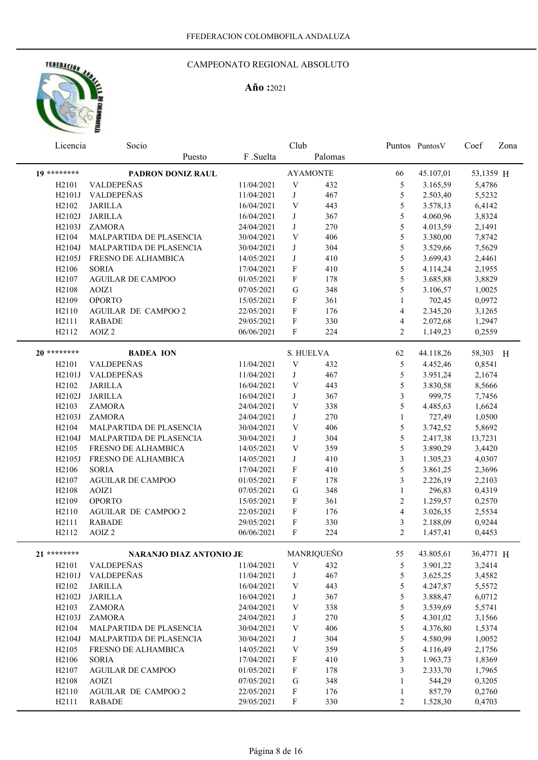

| Licencia           | Socio                      |            | Club                      |                 |                         | Puntos Puntos V | Coef      | Zona |
|--------------------|----------------------------|------------|---------------------------|-----------------|-------------------------|-----------------|-----------|------|
|                    | Puesto                     | F .Suelta  |                           | Palomas         |                         |                 |           |      |
| 19 ********        | PADRON DONIZ RAUL          |            |                           | <b>AYAMONTE</b> | 66                      | 45.107,01       | 53,1359 H |      |
| H <sub>2</sub> 101 | VALDEPEÑAS                 | 11/04/2021 | $\ensuremath{\mathbf{V}}$ | 432             | 5                       | 3.165,59        | 5,4786    |      |
| H2101J             | VALDEPEÑAS                 | 11/04/2021 | J                         | 467             | 5                       | 2.503,40        | 5,5232    |      |
| H2102              | <b>JARILLA</b>             | 16/04/2021 | V                         | 443             | 5                       | 3.578,13        | 6,4142    |      |
| H2102J             | <b>JARILLA</b>             | 16/04/2021 | J                         | 367             | 5                       | 4.060,96        | 3,8324    |      |
| H2103J             | <b>ZAMORA</b>              | 24/04/2021 | J                         | 270             | 5                       | 4.013,59        | 2,1491    |      |
| H <sub>2</sub> 104 | MALPARTIDA DE PLASENCIA    | 30/04/2021 | $\ensuremath{\mathbf{V}}$ | 406             | 5                       | 3.380,00        | 7,8742    |      |
| H2104J             | MALPARTIDA DE PLASENCIA    | 30/04/2021 | J                         | 304             | 5                       | 3.529,66        | 7,5629    |      |
| H2105J             | FRESNO DE ALHAMBICA        | 14/05/2021 | J                         | 410             | 5                       | 3.699,43        | 2,4461    |      |
| H <sub>2106</sub>  | <b>SORIA</b>               | 17/04/2021 | $\boldsymbol{\mathrm{F}}$ | 410             | 5                       | 4.114,24        | 2,1955    |      |
| H2107              | <b>AGUILAR DE CAMPOO</b>   | 01/05/2021 | $\boldsymbol{\mathrm{F}}$ | 178             | 5                       | 3.685,88        | 3,8829    |      |
| H2108              | AOIZ1                      | 07/05/2021 | ${\bf G}$                 | 348             | 5                       | 3.106,57        | 1,0025    |      |
| H2109              | <b>OPORTO</b>              | 15/05/2021 | $\boldsymbol{\mathrm{F}}$ | 361             | $\mathbf{1}$            | 702,45          | 0,0972    |      |
| H2110              | <b>AGUILAR DE CAMPOO 2</b> | 22/05/2021 | $\boldsymbol{\mathrm{F}}$ | 176             | $\overline{4}$          | 2.345,20        | 3,1265    |      |
| H2111              | <b>RABADE</b>              | 29/05/2021 | $\boldsymbol{\mathrm{F}}$ | 330             | 4                       | 2.072,68        | 1,2947    |      |
| H2112              | AOIZ <sub>2</sub>          | 06/06/2021 | F                         | 224             | 2                       | 1.149,23        | 0,2559    |      |
|                    |                            |            |                           |                 |                         |                 |           |      |
| $20*******$        | <b>BADEA ION</b>           |            |                           | S. HUELVA       | 62                      | 44.118,26       | 58,303 H  |      |
| H <sub>2101</sub>  | VALDEPEÑAS                 | 11/04/2021 | $\ensuremath{\text{V}}$   | 432             | 5                       | 4.452,46        | 0,8541    |      |
| H2101J             | VALDEPEÑAS                 | 11/04/2021 | J                         | 467             | $5\overline{)}$         | 3.951,24        | 2,1674    |      |
| H2102              | <b>JARILLA</b>             | 16/04/2021 | V                         | 443             | 5                       | 3.830,58        | 8,5666    |      |
| H2102J             | <b>JARILLA</b>             | 16/04/2021 | J                         | 367             | 3                       | 999,75          | 7,7456    |      |
| H <sub>2</sub> 103 | ZAMORA                     | 24/04/2021 | V                         | 338             | 5                       | 4.485,63        | 1,6624    |      |
| H2103J             | <b>ZAMORA</b>              | 24/04/2021 | J                         | 270             | 1                       | 727,49          | 1,0500    |      |
| H <sub>2</sub> 104 | MALPARTIDA DE PLASENCIA    | 30/04/2021 | $\ensuremath{\text{V}}$   | 406             | 5                       | 3.742,52        | 5,8692    |      |
| H2104J             | MALPARTIDA DE PLASENCIA    | 30/04/2021 | J                         | 304             | 5                       | 2.417,38        | 13,7231   |      |
| H <sub>2105</sub>  | FRESNO DE ALHAMBICA        | 14/05/2021 | $\ensuremath{\text{V}}$   | 359             | 5                       | 3.890,29        | 3,4420    |      |
| H2105J             | FRESNO DE ALHAMBICA        | 14/05/2021 | J                         | 410             | $\mathfrak{Z}$          | 1.305,23        | 4,0307    |      |
| H <sub>2106</sub>  | <b>SORIA</b>               | 17/04/2021 | $\mathbf F$               | 410             | 5                       | 3.861,25        | 2,3696    |      |
| H <sub>2107</sub>  | <b>AGUILAR DE CAMPOO</b>   | 01/05/2021 | $\mathbf F$               | 178             | 3                       | 2.226,19        | 2,2103    |      |
| H <sub>2108</sub>  | AOIZ1                      | 07/05/2021 | ${\bf G}$                 | 348             | $\mathbf{1}$            | 296,83          | 0,4319    |      |
| H2109              | <b>OPORTO</b>              | 15/05/2021 | $\mathbf F$               | 361             | $\overline{c}$          | 1.259,57        | 0,2570    |      |
| H2110              | AGUILAR DE CAMPOO 2        | 22/05/2021 | $\boldsymbol{\mathrm{F}}$ | 176             | $\overline{\mathbf{4}}$ | 3.026,35        | 2,5534    |      |
| H2111              | <b>RABADE</b>              | 29/05/2021 | F                         | 330             | 3                       | 2.188,09        | 0,9244    |      |
| H2112              | AOIZ <sub>2</sub>          | 06/06/2021 | F                         | 224             | $\overline{2}$          | 1.457,41        | 0,4453    |      |
|                    |                            |            |                           |                 |                         |                 |           |      |
| 21 ********        | NARANJO DIAZ ANTONIO JE    |            |                           | MANRIQUEÑO      | 55                      | 43.805,61       | 36,4771 H |      |
| H <sub>2101</sub>  | VALDEPEÑAS                 | 11/04/2021 | $\ensuremath{\text{V}}$   | 432             | 5                       | 3.901,22        | 3,2414    |      |
| H2101J             | VALDEPEÑAS                 | 11/04/2021 | J                         | 467             | 5                       | 3.625,25        | 3,4582    |      |
| H2102              | <b>JARILLA</b>             | 16/04/2021 | V                         | 443             | 5                       | 4.247,87        | 5,5572    |      |
| H2102J             | <b>JARILLA</b>             | 16/04/2021 | J                         | 367             | 5                       | 3.888,47        | 6,0712    |      |
| H2103              | <b>ZAMORA</b>              | 24/04/2021 | V                         | 338             | 5                       | 3.539,69        | 5,5741    |      |
| H2103J             | <b>ZAMORA</b>              | 24/04/2021 | J                         | 270             | 5                       | 4.301,02        | 3,1566    |      |
| H <sub>2</sub> 104 | MALPARTIDA DE PLASENCIA    | 30/04/2021 | V                         | 406             | 5                       | 4.376,80        | 1,5374    |      |
| H2104J             | MALPARTIDA DE PLASENCIA    | 30/04/2021 | J                         | 304             | $\sqrt{5}$              | 4.580,99        | 1,0052    |      |
| H2105              | FRESNO DE ALHAMBICA        | 14/05/2021 | V                         | 359             | $\sqrt{5}$              | 4.116,49        | 2,1756    |      |
| H2106              | <b>SORIA</b>               | 17/04/2021 | $\mathbf F$               | 410             | 3                       | 1.963,73        | 1,8369    |      |
| H2107              | <b>AGUILAR DE CAMPOO</b>   | 01/05/2021 | $\boldsymbol{\mathrm{F}}$ | 178             | 3                       | 2.333,70        | 1,7965    |      |
| H2108              | AOIZ1                      | 07/05/2021 | G                         | 348             | $\mathbf{1}$            | 544,29          | 0,3205    |      |
| H2110              | <b>AGUILAR DE CAMPOO 2</b> | 22/05/2021 | $\boldsymbol{\mathrm{F}}$ | 176             | $\mathbf{1}$            | 857,79          | 0,2760    |      |
| H2111              | <b>RABADE</b>              | 29/05/2021 | $\boldsymbol{\mathrm{F}}$ | 330             | 2                       | 1.528,30        | 0,4703    |      |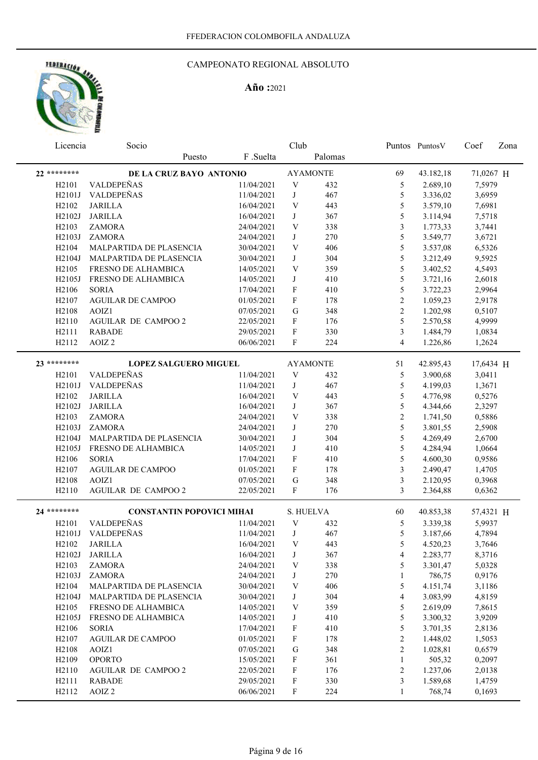

| Licencia                               | Socio                             |                          | Club                           |                 |                                  | Puntos Puntos V      | Coef             | Zona |
|----------------------------------------|-----------------------------------|--------------------------|--------------------------------|-----------------|----------------------------------|----------------------|------------------|------|
|                                        | Puesto                            | F .Suelta                |                                | Palomas         |                                  |                      |                  |      |
| 22 ********                            | DE LA CRUZ BAYO ANTONIO           |                          |                                | <b>AYAMONTE</b> | 69                               | 43.182,18            | 71,0267 H        |      |
| H <sub>2</sub> 101                     | VALDEPEÑAS                        | 11/04/2021               | $\ensuremath{\mathbf{V}}$      | 432             | 5                                | 2.689,10             | 7,5979           |      |
| H2101J                                 | VALDEPEÑAS                        | 11/04/2021               | $\bf J$                        | 467             | 5                                | 3.336,02             | 3,6959           |      |
| H <sub>2</sub> 10 <sub>2</sub>         | <b>JARILLA</b>                    | 16/04/2021               | $\ensuremath{\text{V}}$        | 443             | 5                                | 3.579,10             | 7,6981           |      |
| H2102J                                 | <b>JARILLA</b>                    | 16/04/2021               | $\bf J$                        | 367             | 5                                | 3.114,94             | 7,5718           |      |
| H <sub>2</sub> 103                     | <b>ZAMORA</b>                     | 24/04/2021               | $\ensuremath{\text{V}}$        | 338             | $\mathfrak{Z}$                   | 1.773,33             | 3,7441           |      |
| H2103J                                 | <b>ZAMORA</b>                     | 24/04/2021               | J                              | 270             | $\sqrt{5}$                       | 3.549,77             | 3,6721           |      |
| H <sub>2</sub> 104                     | MALPARTIDA DE PLASENCIA           | 30/04/2021               | $\ensuremath{\mathbf{V}}$      | 406             | $\sqrt{5}$                       | 3.537,08             | 6,5326           |      |
| H2104J                                 | MALPARTIDA DE PLASENCIA           | 30/04/2021               | J                              | 304             | 5                                | 3.212,49             | 9,5925           |      |
| H <sub>2105</sub>                      | FRESNO DE ALHAMBICA               | 14/05/2021               | V                              | 359             | 5                                | 3.402,52             | 4,5493           |      |
| H2105J                                 | FRESNO DE ALHAMBICA               | 14/05/2021               | J                              | 410             | 5                                | 3.721,16             | 2,6018           |      |
| H <sub>2106</sub>                      | <b>SORIA</b>                      | 17/04/2021               | $\mathbf F$                    | 410             | 5                                | 3.722,23             | 2,9964           |      |
| H <sub>2107</sub>                      | <b>AGUILAR DE CAMPOO</b>          | 01/05/2021               | $\boldsymbol{\mathrm{F}}$      | 178             | $\overline{2}$                   | 1.059,23             | 2,9178           |      |
| H <sub>2108</sub>                      | AOIZ1                             | 07/05/2021               | ${\bf G}$                      | 348             | $\overline{2}$                   | 1.202,98             | 0,5107           |      |
| H2110                                  | <b>AGUILAR DE CAMPOO 2</b>        | 22/05/2021               | $\boldsymbol{\mathrm{F}}$      | 176             | 5                                | 2.570,58             | 4,9999           |      |
| H2111                                  | <b>RABADE</b>                     | 29/05/2021               | $\mathbf F$                    | 330             | 3                                | 1.484,79             | 1,0834           |      |
| H2112                                  | AOIZ <sub>2</sub>                 | 06/06/2021               | $\boldsymbol{\mathrm{F}}$      | 224             | $\overline{4}$                   | 1.226,86             | 1,2624           |      |
|                                        |                                   |                          |                                |                 |                                  |                      |                  |      |
| 23 ********                            | <b>LOPEZ SALGUERO MIGUEL</b>      |                          |                                | <b>AYAMONTE</b> | 51                               | 42.895,43            | 17,6434 H        |      |
| H <sub>2</sub> 101                     | VALDEPEÑAS                        | 11/04/2021               | V                              | 432             | 5                                | 3.900,68             | 3,0411           |      |
| H2101J                                 | VALDEPEÑAS                        | 11/04/2021               | J                              | 467             | 5                                | 4.199,03             | 1,3671           |      |
| H2102                                  | <b>JARILLA</b>                    | 16/04/2021               | $\ensuremath{\text{V}}$        | 443             | 5                                | 4.776,98             | 0,5276           |      |
| H2102J                                 | <b>JARILLA</b>                    | 16/04/2021               | J                              | 367             | 5                                | 4.344,66             | 2,3297           |      |
| H2103                                  | <b>ZAMORA</b>                     | 24/04/2021               | V                              | 338             | $\overline{c}$                   | 1.741,50             | 0,5886           |      |
| H2103J                                 | <b>ZAMORA</b>                     | 24/04/2021               | J                              | 270             | 5                                | 3.801,55             | 2,5908           |      |
| H2104J                                 | MALPARTIDA DE PLASENCIA           | 30/04/2021               | $\bf J$                        | 304             | $\mathfrak s$                    | 4.269,49             | 2,6700           |      |
| H2105J                                 | FRESNO DE ALHAMBICA               | 14/05/2021               | J                              | 410             | $\sqrt{5}$                       | 4.284,94             | 1,0664           |      |
| H <sub>2106</sub>                      | <b>SORIA</b>                      | 17/04/2021               | $\mathbf F$                    | 410             | $\sqrt{5}$                       | 4.600,30             | 0,9586           |      |
| H <sub>2107</sub>                      | <b>AGUILAR DE CAMPOO</b>          | 01/05/2021               | $\mathbf F$                    | 178             | 3                                | 2.490,47             | 1,4705           |      |
| H <sub>2108</sub>                      | AOIZ1                             | 07/05/2021               | G                              | 348             | $\mathfrak{Z}$                   | 2.120,95             | 0,3968           |      |
| H <sub>2110</sub>                      | <b>AGUILAR DE CAMPOO 2</b>        | 22/05/2021               | F                              | 176             | 3                                | 2.364,88             | 0,6362           |      |
| 24 ********                            | <b>CONSTANTIN POPOVICI MIHAI</b>  |                          | S. HUELVA                      |                 | 60                               | 40.853,38            | 57,4321 H        |      |
| H <sub>2</sub> 101                     | VALDEPEÑAS                        | 11/04/2021               | V                              |                 | 5                                | 3.339,38             | 5,9937           |      |
| H2101J                                 | VALDEPEÑAS                        | 11/04/2021               | J                              | 432<br>467      | 5                                | 3.187,66             | 4,7894           |      |
| H2102                                  | JARILLA                           | 16/04/2021               | V                              | 443             | 5                                |                      |                  |      |
|                                        | H2102J JARILLA                    |                          |                                |                 |                                  | 4.520,23             | 3,7646           |      |
|                                        |                                   | 16/04/2021               | J                              | 367             | 4                                | 2.283,77<br>3.301,47 | 8,3716           |      |
| H <sub>2</sub> 103                     | ZAMORA<br><b>ZAMORA</b>           | 24/04/2021<br>24/04/2021 | V<br>J                         | 338             | 5<br>$\mathbf{1}$                |                      | 5,0328           |      |
| H2103J<br>H <sub>2</sub> 104           |                                   |                          | V                              | 270<br>406      |                                  | 786,75<br>4.151,74   | 0,9176           |      |
|                                        | MALPARTIDA DE PLASENCIA           | 30/04/2021               |                                |                 | 5                                |                      | 3,1186           |      |
| H2104J                                 | MALPARTIDA DE PLASENCIA           | 30/04/2021               | J                              | 304             | $\overline{4}$                   | 3.083,99<br>2.619,09 | 4,8159           |      |
| H <sub>2105</sub>                      | FRESNO DE ALHAMBICA               | 14/05/2021               | V                              | 359             | 5                                |                      | 7,8615           |      |
| H2105J                                 | FRESNO DE ALHAMBICA               | 14/05/2021               | J                              | 410<br>410      | 5                                | 3.300,32<br>3.701,35 | 3,9209           |      |
| H <sub>2106</sub>                      | <b>SORIA</b>                      | 17/04/2021               | F                              |                 | 5                                |                      | 2,8136           |      |
| H <sub>2107</sub><br>H <sub>2108</sub> | <b>AGUILAR DE CAMPOO</b><br>AOIZ1 | 01/05/2021               | $\mathbf{F}$                   | 178<br>348      | $\overline{2}$<br>$\overline{2}$ | 1.448,02<br>1.028,81 | 1,5053<br>0,6579 |      |
| H2109                                  | <b>OPORTO</b>                     | 07/05/2021<br>15/05/2021 | G                              | 361             | $\mathbf{1}$                     | 505,32               | 0,2097           |      |
| H <sub>2110</sub>                      | AGUILAR DE CAMPOO 2               | 22/05/2021               | $\boldsymbol{\mathrm{F}}$<br>F | 176             | $\overline{2}$                   | 1.237,06             | 2,0138           |      |
| H2111                                  | <b>RABADE</b>                     | 29/05/2021               | $\mathbf{F}$                   | 330             | 3                                | 1.589,68             | 1,4759           |      |
| H2112                                  | AOIZ <sub>2</sub>                 | 06/06/2021               | F                              | 224             | 1                                | 768,74               | 0,1693           |      |
|                                        |                                   |                          |                                |                 |                                  |                      |                  |      |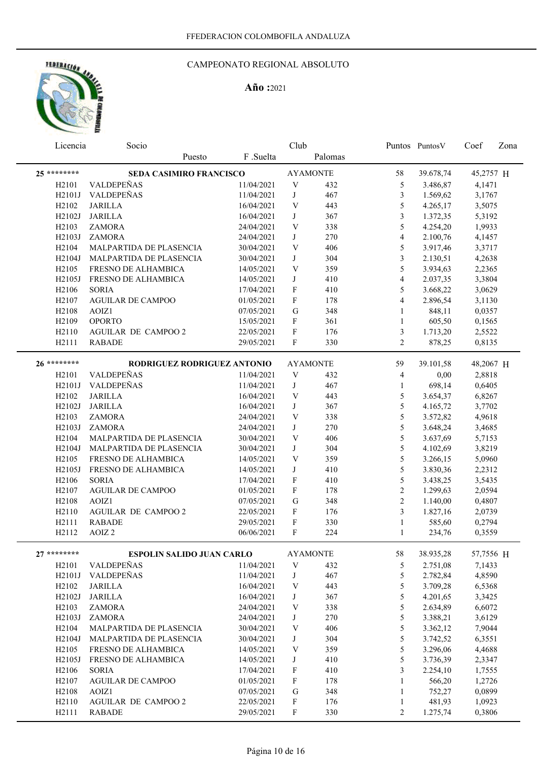

| Licencia           | Socio                                          |            | Club                      |                        |                         | Puntos Puntos V       | Coef                | Zona |
|--------------------|------------------------------------------------|------------|---------------------------|------------------------|-------------------------|-----------------------|---------------------|------|
|                    | Puesto                                         | F.Suelta   |                           | Palomas                |                         |                       |                     |      |
| 25 ********        | <b>SEDA CASIMIRO FRANCISCO</b>                 |            |                           | <b>AYAMONTE</b>        | 58                      | 39.678,74             | 45,2757 H           |      |
| H <sub>2</sub> 101 | VALDEPEÑAS                                     | 11/04/2021 | V                         | 432                    | 5                       | 3.486,87              | 4,1471              |      |
| H2101J             | VALDEPEÑAS                                     | 11/04/2021 | J                         | 467                    | 3                       | 1.569,62              | 3,1767              |      |
| H <sub>2102</sub>  | <b>JARILLA</b>                                 | 16/04/2021 | $\ensuremath{\text{V}}$   | 443                    | 5                       | 4.265,17              | 3,5075              |      |
| H2102J             | <b>JARILLA</b>                                 | 16/04/2021 | $_{\rm J}$                | 367                    | $\mathfrak{Z}$          | 1.372,35              | 5,3192              |      |
| H2103              | ZAMORA                                         | 24/04/2021 | $\ensuremath{\mathbf{V}}$ | 338                    | 5                       | 4.254,20              | 1,9933              |      |
| H2103J             | <b>ZAMORA</b>                                  | 24/04/2021 | $_{\rm J}$                | 270                    | $\overline{\mathbf{4}}$ | 2.100,76              | 4,1457              |      |
| H <sub>2</sub> 104 | MALPARTIDA DE PLASENCIA                        | 30/04/2021 | $\ensuremath{\text{V}}$   | 406                    | 5                       | 3.917,46              | 3,3717              |      |
| H2104J             | MALPARTIDA DE PLASENCIA                        | 30/04/2021 | J                         | 304                    | $\mathfrak{Z}$          | 2.130,51              | 4,2638              |      |
| H <sub>2105</sub>  | FRESNO DE ALHAMBICA                            | 14/05/2021 | $\ensuremath{\text{V}}$   | 359                    | 5                       | 3.934,63              | 2,2365              |      |
| H2105J             | FRESNO DE ALHAMBICA                            | 14/05/2021 | J                         | 410                    | $\overline{4}$          | 2.037,35              | 3,3804              |      |
| H2106              | <b>SORIA</b>                                   | 17/04/2021 | $\boldsymbol{\mathrm{F}}$ | 410                    | 5                       | 3.668,22              | 3,0629              |      |
| H2107              | <b>AGUILAR DE CAMPOO</b>                       | 01/05/2021 | $\boldsymbol{\mathrm{F}}$ | 178                    | $\overline{\mathbf{4}}$ | 2.896,54              | 3,1130              |      |
| H2108              | AOIZ1                                          | 07/05/2021 | G                         | 348                    | $\mathbf{1}$            | 848,11                | 0,0357              |      |
| H2109              | <b>OPORTO</b>                                  | 15/05/2021 | $\mathbf F$               | 361                    | $\mathbf{1}$            | 605,50                | 0,1565              |      |
| H2110              | AGUILAR DE CAMPOO 2                            | 22/05/2021 | F                         | 176                    | 3                       | 1.713,20              | 2,5522              |      |
| H2111              | <b>RABADE</b>                                  | 29/05/2021 | F                         | 330                    | $\overline{2}$          | 878,25                | 0,8135              |      |
|                    |                                                |            |                           |                        |                         |                       |                     |      |
| 26 ********        | RODRIGUEZ RODRIGUEZ ANTONIO                    |            |                           | <b>AYAMONTE</b>        | 59                      | 39.101,58             | 48,2067 H           |      |
| H <sub>2</sub> 101 | VALDEPEÑAS                                     | 11/04/2021 | V                         | 432                    | 4                       | 0,00                  | 2,8818              |      |
| H2101J             | VALDEPEÑAS                                     | 11/04/2021 | J                         | 467                    | $\mathbf{1}$            | 698,14                | 0,6405              |      |
| H <sub>2102</sub>  | <b>JARILLA</b>                                 | 16/04/2021 | $\ensuremath{\mathbf{V}}$ | 443                    | 5                       | 3.654,37              | 6,8267              |      |
| H2102J             | <b>JARILLA</b>                                 | 16/04/2021 | J                         | 367                    | 5                       | 4.165,72              | 3,7702              |      |
| H2103              | ZAMORA                                         | 24/04/2021 | $\ensuremath{\mathbf{V}}$ | 338                    | 5                       | 3.572,82              | 4,9618              |      |
| H2103J             | <b>ZAMORA</b>                                  | 24/04/2021 | $_{\rm J}$                | 270                    | 5                       | 3.648,24              | 3,4685              |      |
| H <sub>2</sub> 104 | MALPARTIDA DE PLASENCIA                        | 30/04/2021 | $\ensuremath{\mathbf{V}}$ | 406                    | 5                       | 3.637,69              | 5,7153              |      |
| H2104J             | MALPARTIDA DE PLASENCIA                        | 30/04/2021 | J                         | 304                    | 5                       | 4.102,69              | 3,8219              |      |
| H <sub>2105</sub>  | FRESNO DE ALHAMBICA                            | 14/05/2021 | $\ensuremath{\text{V}}$   | 359                    | 5                       | 3.266,15              | 5,0960              |      |
| H2105J             | FRESNO DE ALHAMBICA                            | 14/05/2021 | J                         | 410                    | 5                       | 3.830,36              | 2,2312              |      |
| H <sub>2106</sub>  | <b>SORIA</b>                                   | 17/04/2021 | $\boldsymbol{\mathrm{F}}$ | 410                    | 5                       | 3.438,25              | 3,5435              |      |
| H <sub>2107</sub>  | <b>AGUILAR DE CAMPOO</b>                       | 01/05/2021 | $\boldsymbol{\mathrm{F}}$ | 178                    | $\overline{c}$          | 1.299,63              | 2,0594              |      |
| H <sub>2108</sub>  | AOIZ1                                          | 07/05/2021 | ${\bf G}$                 | 348                    | $\overline{2}$          | 1.140,00              | 0,4807              |      |
| H2110              | AGUILAR DE CAMPOO 2                            | 22/05/2021 | $\mathbf F$               | 176                    | $\overline{\mathbf{3}}$ | 1.827,16              | 2,0739              |      |
| H2111              | <b>RABADE</b>                                  | 29/05/2021 | F                         | 330                    | $\mathbf{1}$            | 585,60                | 0,2794              |      |
| H2112              | AOIZ <sub>2</sub>                              | 06/06/2021 | F                         | 224                    | $\mathbf{1}$            | 234,76                | 0,3559              |      |
| $27******$         |                                                |            |                           |                        |                         |                       |                     |      |
| H <sub>2</sub> 101 | <b>ESPOLIN SALIDO JUAN CARLO</b><br>VALDEPEÑAS | 11/04/2021 | $\ensuremath{\text{V}}$   | <b>AYAMONTE</b><br>432 | 58<br>5                 | 38.935,28<br>2.751,08 | 57,7556 H<br>7,1433 |      |
| H2101J             | VALDEPEÑAS                                     |            | J                         |                        | 5                       | 2.782,84              | 4,8590              |      |
| H2102              |                                                | 11/04/2021 | V                         | 467                    |                         | 3.709,28              |                     |      |
|                    | JARILLA                                        | 16/04/2021 |                           | 443                    | 5                       |                       | 6,5368              |      |
| H2102J             | <b>JARILLA</b>                                 | 16/04/2021 | J                         | 367                    | 5                       | 4.201,65              | 3,3425              |      |
| H <sub>2</sub> 103 | <b>ZAMORA</b>                                  | 24/04/2021 | V                         | 338                    | 5                       | 2.634,89              | 6,6072              |      |
| H2103J             | <b>ZAMORA</b>                                  | 24/04/2021 | J                         | 270                    | 5                       | 3.388,21              | 3,6129              |      |
| H <sub>2</sub> 104 | MALPARTIDA DE PLASENCIA                        | 30/04/2021 | V                         | 406                    | 5                       | 3.362,12              | 7,9044              |      |
| H2104J             | MALPARTIDA DE PLASENCIA                        | 30/04/2021 | J                         | 304                    | 5                       | 3.742,52              | 6,3551              |      |
| H2105              | FRESNO DE ALHAMBICA                            | 14/05/2021 | V                         | 359                    | 5                       | 3.296,06              | 4,4688              |      |
| H2105J             | FRESNO DE ALHAMBICA                            | 14/05/2021 | J                         | 410                    | 5                       | 3.736,39              | 2,3347              |      |
| H2106              | <b>SORIA</b>                                   | 17/04/2021 | F                         | 410                    | 3                       | 2.254,10              | 1,7555              |      |
| H2107              | <b>AGUILAR DE CAMPOO</b>                       | 01/05/2021 | $\boldsymbol{\mathrm{F}}$ | 178                    | 1                       | 566,20                | 1,2726              |      |
| H2108              | AOIZ1                                          | 07/05/2021 | G                         | 348                    | $\mathbf{1}$            | 752,27                | 0,0899              |      |
| H2110              | AGUILAR DE CAMPOO 2                            | 22/05/2021 | $\mathbf F$               | 176                    | 1                       | 481,93                | 1,0923              |      |
| H2111              | <b>RABADE</b>                                  | 29/05/2021 | $\boldsymbol{\mathrm{F}}$ | 330                    | $\overline{2}$          | 1.275,74              | 0,3806              |      |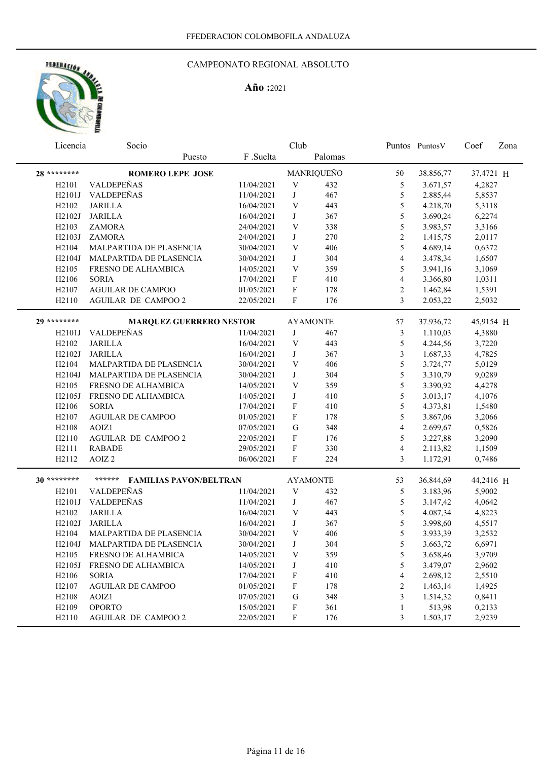

| Licencia                       | Socio                                   |            | Club                      |                 |                | Puntos Puntos V | Coef      | Zona |
|--------------------------------|-----------------------------------------|------------|---------------------------|-----------------|----------------|-----------------|-----------|------|
|                                | Puesto                                  | F.Suelta   |                           | Palomas         |                |                 |           |      |
| 28 *********                   | <b>ROMERO LEPE JOSE</b>                 |            |                           | MANRIQUEÑO      | 50             | 38.856,77       | 37,4721 H |      |
| H <sub>2</sub> 101             | VALDEPEÑAS                              | 11/04/2021 | $\ensuremath{\mathbf{V}}$ | 432             | 5              | 3.671,57        | 4,2827    |      |
| H2101J                         | VALDEPEÑAS                              | 11/04/2021 | $\bf J$                   | 467             | 5              | 2.885,44        | 5,8537    |      |
| H <sub>2</sub> 10 <sub>2</sub> | <b>JARILLA</b>                          | 16/04/2021 | $\ensuremath{\text{V}}$   | 443             | 5              | 4.218,70        | 5,3118    |      |
| H2102J                         | <b>JARILLA</b>                          | 16/04/2021 | J                         | 367             | 5              | 3.690,24        | 6,2274    |      |
| H <sub>2</sub> 103             | <b>ZAMORA</b>                           | 24/04/2021 | V                         | 338             | 5              | 3.983,57        | 3,3166    |      |
| H2103J                         | <b>ZAMORA</b>                           | 24/04/2021 | J                         | 270             | $\overline{c}$ | 1.415,75        | 2,0117    |      |
| H <sub>2</sub> 104             | MALPARTIDA DE PLASENCIA                 | 30/04/2021 | V                         | 406             | 5              | 4.689,14        | 0,6372    |      |
| H2104J                         | MALPARTIDA DE PLASENCIA                 | 30/04/2021 | J                         | 304             | 4              | 3.478,34        | 1,6507    |      |
| H <sub>2105</sub>              | FRESNO DE ALHAMBICA                     | 14/05/2021 | V                         | 359             | 5              | 3.941,16        | 3,1069    |      |
| H <sub>2106</sub>              | <b>SORIA</b>                            | 17/04/2021 | F                         | 410             | 4              | 3.366,80        | 1,0311    |      |
| H2107                          | <b>AGUILAR DE CAMPOO</b>                | 01/05/2021 | F                         | 178             | $\overline{c}$ | 1.462,84        | 1,5391    |      |
| H2110                          | AGUILAR DE CAMPOO 2                     | 22/05/2021 | $\mathbf{F}$              | 176             | $\overline{3}$ | 2.053,22        | 2,5032    |      |
| 29 ********                    | <b>MARQUEZ GUERRERO NESTOR</b>          |            |                           | <b>AYAMONTE</b> | 57             | 37.936,72       | 45,9154 H |      |
| H2101J                         | VALDEPEÑAS                              | 11/04/2021 | J                         | 467             | 3              | 1.110,03        | 4,3880    |      |
| H <sub>2</sub> 10 <sub>2</sub> | <b>JARILLA</b>                          | 16/04/2021 | V                         | 443             | 5              | 4.244,56        | 3,7220    |      |
| H2102J                         | <b>JARILLA</b>                          | 16/04/2021 | J                         | 367             | 3              | 1.687,33        | 4,7825    |      |
| H <sub>2</sub> 104             | MALPARTIDA DE PLASENCIA                 | 30/04/2021 | $\ensuremath{\text{V}}$   | 406             | 5              | 3.724,77        | 5,0129    |      |
| H2104J                         | MALPARTIDA DE PLASENCIA                 | 30/04/2021 | J                         | 304             | 5              | 3.310,79        | 9,0289    |      |
| H <sub>2105</sub>              | FRESNO DE ALHAMBICA                     | 14/05/2021 | $\ensuremath{\text{V}}$   | 359             | 5              | 3.390,92        | 4,4278    |      |
| H2105J                         | FRESNO DE ALHAMBICA                     | 14/05/2021 | J                         | 410             | 5              | 3.013,17        | 4,1076    |      |
| H <sub>2106</sub>              | <b>SORIA</b>                            | 17/04/2021 | $\mathbf F$               | 410             | 5              | 4.373,81        | 1,5480    |      |
| H2107                          | <b>AGUILAR DE CAMPOO</b>                | 01/05/2021 | F                         | 178             | 5              | 3.867,06        | 3,2066    |      |
| H2108                          | AOIZ1                                   | 07/05/2021 | G                         | 348             | 4              | 2.699,67        | 0,5826    |      |
| H2110                          | <b>AGUILAR DE CAMPOO 2</b>              | 22/05/2021 | F                         | 176             | 5              | 3.227,88        | 3,2090    |      |
| H2111                          | <b>RABADE</b>                           | 29/05/2021 | $\mathbf F$               | 330             | 4              | 2.113,82        | 1,1509    |      |
| H2112                          | AOIZ <sub>2</sub>                       | 06/06/2021 | F                         | 224             | 3              | 1.172,91        | 0,7486    |      |
| 30 ********                    | ******<br><b>FAMILIAS PAVON/BELTRAN</b> |            |                           | <b>AYAMONTE</b> | 53             | 36.844,69       | 44,2416 H |      |
| H <sub>2</sub> 101             | VALDEPEÑAS                              | 11/04/2021 | V                         | 432             | 5              | 3.183,96        | 5,9002    |      |
| H2101J                         | VALDEPEÑAS                              | 11/04/2021 | J                         | 467             | 5              | 3.147,42        | 4,0642    |      |
| H <sub>2</sub> 10 <sub>2</sub> | <b>JARILLA</b>                          | 16/04/2021 | V                         | 443             | 5              | 4.087,34        | 4,8223    |      |
| H2102J                         | <b>JARILLA</b>                          | 16/04/2021 | J                         | 367             | 5              | 3.998,60        | 4,5517    |      |
| H <sub>2</sub> 104             | MALPARTIDA DE PLASENCIA                 | 30/04/2021 | $\mathbf V$               | 406             | 5              | 3.933,39        | 3,2532    |      |
|                                | H2104J MALPARTIDA DE PLASENCIA          | 30/04/2021 | J                         | 304             | 5              | 3.663,72        | 6,6971    |      |
| H <sub>2105</sub>              | FRESNO DE ALHAMBICA                     | 14/05/2021 | V                         | 359             | 5              | 3.658,46        | 3,9709    |      |
| H2105J                         | FRESNO DE ALHAMBICA                     | 14/05/2021 | J                         | 410             | 5              | 3.479,07        | 2,9602    |      |
| H2106                          | <b>SORIA</b>                            | 17/04/2021 | F                         | 410             | 4              | 2.698,12        | 2,5510    |      |
| H2107                          | <b>AGUILAR DE CAMPOO</b>                | 01/05/2021 | F                         | 178             | $\overline{c}$ | 1.463,14        | 1,4925    |      |
| H2108                          | AOIZ1                                   | 07/05/2021 | G                         | 348             | 3              | 1.514,32        | 0,8411    |      |
| H2109                          | <b>OPORTO</b>                           | 15/05/2021 | F                         | 361             | 1              | 513,98          | 0,2133    |      |
| H2110                          | AGUILAR DE CAMPOO 2                     | 22/05/2021 | F                         | 176             | 3              | 1.503,17        | 2,9239    |      |
|                                |                                         |            |                           |                 |                |                 |           |      |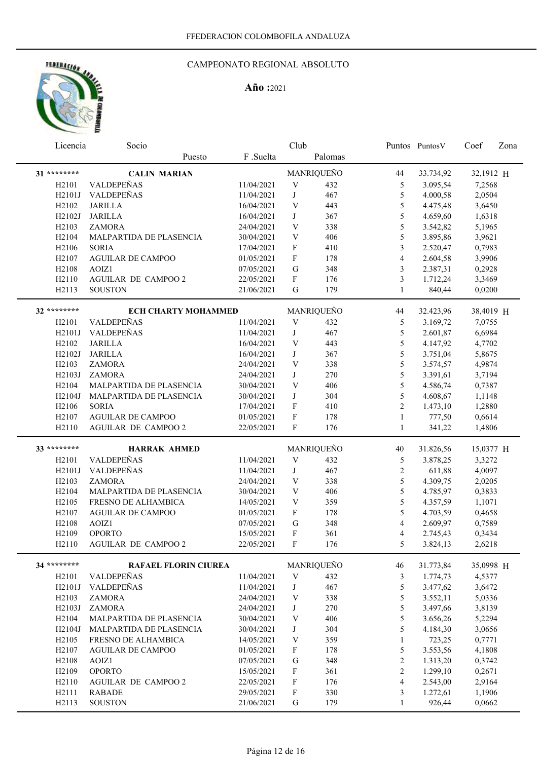

| Licencia                       | Socio                      |                          | Club                      |            |                  | Puntos Puntos V | Coef      | Zona |
|--------------------------------|----------------------------|--------------------------|---------------------------|------------|------------------|-----------------|-----------|------|
|                                | Puesto                     | F.Suelta                 |                           | Palomas    |                  |                 |           |      |
| 31 ********                    | <b>CALIN MARIAN</b>        |                          |                           | MANRIQUEÑO | 44               | 33.734,92       | 32,1912 H |      |
| H <sub>2</sub> 101             | VALDEPEÑAS                 | 11/04/2021               | $\mathbf V$               | 432        | 5                | 3.095,54        | 7,2568    |      |
| H2101J                         | VALDEPEÑAS                 | 11/04/2021               | J                         | 467        | 5                | 4.000,58        | 2,0504    |      |
| H2102                          | <b>JARILLA</b>             | 16/04/2021               | $\ensuremath{\mathbf{V}}$ | 443        | 5                | 4.475,48        | 3,6450    |      |
| H2102J                         | <b>JARILLA</b>             | 16/04/2021               | J                         | 367        | $\mathfrak s$    | 4.659,60        | 1,6318    |      |
| H2103                          | <b>ZAMORA</b>              | 24/04/2021               | $\mathbf V$               | 338        | 5                | 3.542,82        | 5,1965    |      |
| H <sub>2</sub> 104             | MALPARTIDA DE PLASENCIA    | 30/04/2021               | $\ensuremath{\mathbf{V}}$ | 406        | 5                | 3.895,86        | 3,9621    |      |
| H2106                          | <b>SORIA</b>               | 17/04/2021               | F                         | 410        | 3                | 2.520,47        | 0,7983    |      |
| H2107                          | <b>AGUILAR DE CAMPOO</b>   | 01/05/2021               | F                         | 178        | $\overline{4}$   | 2.604,58        | 3,9906    |      |
| H2108                          | AOIZ1                      | 07/05/2021               | G                         | 348        | 3                | 2.387,31        | 0,2928    |      |
| H2110                          | <b>AGUILAR DE CAMPOO 2</b> | 22/05/2021               | F                         | 176        | 3                | 1.712,24        | 3,3469    |      |
| H2113                          | <b>SOUSTON</b>             | 21/06/2021               | $\mathbf G$               | 179        | $\mathbf{1}$     | 840,44          | 0,0200    |      |
|                                |                            |                          |                           |            |                  |                 |           |      |
| 32 ********                    | <b>ECH CHARTY MOHAMMED</b> |                          |                           | MANRIQUEÑO | 44               | 32.423,96       | 38,4019 H |      |
| H <sub>2101</sub>              | VALDEPEÑAS                 | 11/04/2021               | $\mathbf V$               | 432        | 5                | 3.169,72        | 7,0755    |      |
| H2101J                         | VALDEPEÑAS                 | 11/04/2021               | J                         | 467        | 5                | 2.601,87        | 6,6984    |      |
| H <sub>2</sub> 10 <sub>2</sub> | <b>JARILLA</b>             | 16/04/2021               | V                         | 443        | 5                | 4.147,92        | 4,7702    |      |
| H2102J                         | <b>JARILLA</b>             | 16/04/2021               | J                         | 367        | 5                | 3.751,04        | 5,8675    |      |
| H2103                          | ZAMORA                     | 24/04/2021               | V                         | 338        | 5                | 3.574,57        | 4,9874    |      |
| H2103J                         | <b>ZAMORA</b>              | 24/04/2021               | J                         | 270        | 5                | 3.391,61        | 3,7194    |      |
| H <sub>2</sub> 104             | MALPARTIDA DE PLASENCIA    | 30/04/2021               | V                         | 406        | 5                | 4.586,74        | 0,7387    |      |
| H2104J                         | MALPARTIDA DE PLASENCIA    | 30/04/2021               | J                         | 304        | 5                | 4.608,67        | 1,1148    |      |
| H <sub>2106</sub>              | <b>SORIA</b>               | 17/04/2021               | F                         | 410        | $\overline{c}$   | 1.473,10        | 1,2880    |      |
| H2107                          | <b>AGUILAR DE CAMPOO</b>   | 01/05/2021               | $\boldsymbol{\mathrm{F}}$ | 178        | $\mathbf{1}$     | 777,50          | 0,6614    |      |
| H <sub>2110</sub>              | AGUILAR DE CAMPOO 2        | 22/05/2021               | $\mathbf{F}$              | 176        | $\mathbf{1}$     | 341,22          | 1,4806    |      |
| 33 ********                    | <b>HARRAK AHMED</b>        |                          |                           | MANRIQUEÑO | 40               | 31.826,56       | 15,0377 H |      |
| H <sub>2</sub> 101             | VALDEPEÑAS                 | 11/04/2021               | $\mathbf V$               | 432        | 5                | 3.878,25        | 3,3272    |      |
| H2101J                         | VALDEPEÑAS                 | 11/04/2021               | $_{\rm J}$                | 467        | $\sqrt{2}$       | 611,88          | 4,0097    |      |
| H2103                          | <b>ZAMORA</b>              |                          | $\ensuremath{\mathbf{V}}$ | 338        | 5                | 4.309,75        | 2,0205    |      |
| H <sub>2</sub> 104             | MALPARTIDA DE PLASENCIA    | 24/04/2021<br>30/04/2021 | $\mathbf V$               | 406        | 5                | 4.785,97        | 0,3833    |      |
| H2105                          | FRESNO DE ALHAMBICA        | 14/05/2021               | V                         | 359        | 5                | 4.357,59        | 1,1071    |      |
| H2107                          | <b>AGUILAR DE CAMPOO</b>   | 01/05/2021               | F                         | 178        | 5                | 4.703,59        | 0,4658    |      |
| H2108                          | AOIZ1                      | 07/05/2021               | G                         | 348        | $\overline{4}$   | 2.609,97        | 0,7589    |      |
| H2109                          | <b>OPORTO</b>              | 15/05/2021               | ${\bf F}$                 | 361        | 4                | 2.745,43        | 0,3434    |      |
| H <sub>2</sub> 110             | AGUILAR DE CAMPOO 2        | 22/05/2021               | F                         | 176        | 5                | 3.824,13        | 2,6218    |      |
|                                |                            |                          |                           |            |                  |                 |           |      |
| 34 ********                    | RAFAEL FLORIN CIUREA       |                          |                           | MANRIQUEÑO | 46               | 31.773,84       | 35,0998 H |      |
| H <sub>2101</sub>              | VALDEPEÑAS                 | 11/04/2021               | $\ensuremath{\mathbf{V}}$ | 432        | 3                | 1.774,73        | 4,5377    |      |
| H2101J                         | VALDEPEÑAS                 | 11/04/2021               | J                         | 467        | 5                | 3.477,62        | 3,6472    |      |
| H2103                          | <b>ZAMORA</b>              | 24/04/2021               | $\mathbf V$               | 338        | $\mathfrak s$    | 3.552,11        | 5,0336    |      |
| H2103J                         | <b>ZAMORA</b>              | 24/04/2021               | J                         | 270        | 5                | 3.497,66        | 3,8139    |      |
| H <sub>2104</sub>              | MALPARTIDA DE PLASENCIA    | 30/04/2021               | $\mathbf V$               | 406        | 5                | 3.656,26        | 5,2294    |      |
| H2104J                         | MALPARTIDA DE PLASENCIA    | 30/04/2021               | J                         | 304        | 5                | 4.184,30        | 3,0656    |      |
| H2105                          | FRESNO DE ALHAMBICA        | 14/05/2021               | $\mathbf V$               | 359        | $\mathbf{1}$     | 723,25          | 0,7771    |      |
| H2107                          | <b>AGUILAR DE CAMPOO</b>   | 01/05/2021               | F                         | 178        | $\mathfrak s$    | 3.553,56        | 4,1808    |      |
| H2108                          | AOIZ1                      | 07/05/2021               | ${\bf G}$                 | 348        | $\boldsymbol{2}$ | 1.313,20        | 0,3742    |      |
| H2109                          | OPORTO                     | 15/05/2021               | ${\bf F}$                 | 361        | $\sqrt{2}$       | 1.299,10        | 0,2671    |      |
| H2110                          | <b>AGUILAR DE CAMPOO 2</b> | 22/05/2021               | $\boldsymbol{\mathrm{F}}$ | 176        | $\overline{4}$   | 2.543,00        | 2,9164    |      |
| H2111                          | <b>RABADE</b>              | 29/05/2021               | ${\bf F}$                 | 330        | 3                | 1.272,61        | 1,1906    |      |
| H2113                          | <b>SOUSTON</b>             | 21/06/2021               | $\mathbf G$               | 179        | 1                | 926,44          | 0,0662    |      |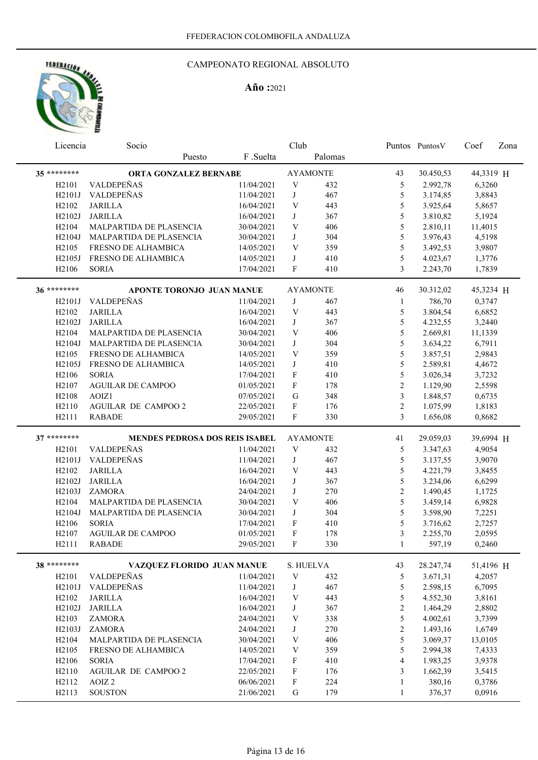# FEDERACIÓN **Ars**

## CAMPEONATO REGIONAL ABSOLUTO

|             | Licencia                       | Socio                                              |                          | Club                      |                 |                          | Puntos Puntos V      | Coef             | Zona |
|-------------|--------------------------------|----------------------------------------------------|--------------------------|---------------------------|-----------------|--------------------------|----------------------|------------------|------|
|             |                                | Puesto                                             | F .Suelta                |                           | Palomas         |                          |                      |                  |      |
| 35 ******** |                                | ORTA GONZALEZ BERNABE                              |                          |                           | <b>AYAMONTE</b> | 43                       | 30.450,53            | 44,3319 H        |      |
|             | H <sub>2101</sub>              | VALDEPEÑAS                                         | 11/04/2021               | $\mathbf V$               | 432             | 5                        | 2.992,78             | 6,3260           |      |
|             | H2101J                         | VALDEPEÑAS                                         | 11/04/2021               | J                         | 467             | 5                        | 3.174,85             | 3,8843           |      |
|             | H <sub>2</sub> 10 <sub>2</sub> | <b>JARILLA</b>                                     | 16/04/2021               | V                         | 443             | 5                        | 3.925,64             | 5,8657           |      |
|             | H2102J                         | <b>JARILLA</b>                                     | 16/04/2021               | J                         | 367             | 5                        | 3.810,82             | 5,1924           |      |
|             | H <sub>2</sub> 104             | MALPARTIDA DE PLASENCIA                            | 30/04/2021               | V                         | 406             | 5                        | 2.810,11             | 11,4015          |      |
|             | H2104J                         | MALPARTIDA DE PLASENCIA                            | 30/04/2021               | J                         | 304             | 5                        | 3.976,43             | 4,5198           |      |
|             | H <sub>2</sub> 105             | FRESNO DE ALHAMBICA                                | 14/05/2021               | V                         | 359             | 5                        | 3.492,53             | 3,9807           |      |
|             | H2105J                         | FRESNO DE ALHAMBICA                                | 14/05/2021               | J                         | 410             | 5                        | 4.023,67             | 1,3776           |      |
|             | H <sub>2106</sub>              | <b>SORIA</b>                                       | 17/04/2021               | $\mathbf F$               | 410             | 3                        | 2.243,70             | 1,7839           |      |
|             | 36 *********                   | APONTE TORONJO JUAN MANUE                          |                          |                           | <b>AYAMONTE</b> | 46                       | 30.312,02            | 45,3234 H        |      |
|             | H2101J                         | VALDEPEÑAS                                         | 11/04/2021               | J                         |                 | $\mathbf{1}$             |                      | 0,3747           |      |
|             | H <sub>2</sub> 10 <sub>2</sub> | <b>JARILLA</b>                                     | 16/04/2021               | V                         | 467<br>443      | 5                        | 786,70<br>3.804,54   | 6,6852           |      |
|             | H2102J                         | <b>JARILLA</b>                                     |                          |                           |                 |                          |                      |                  |      |
|             |                                |                                                    | 16/04/2021               | J<br>V                    | 367             | 5                        | 4.232,55<br>2.669,81 | 3,2440           |      |
|             | H <sub>2</sub> 104<br>H2104J   | MALPARTIDA DE PLASENCIA<br>MALPARTIDA DE PLASENCIA | 30/04/2021<br>30/04/2021 | J                         | 406<br>304      | 5<br>5                   | 3.634,22             | 11,1339          |      |
|             | H <sub>2105</sub>              | FRESNO DE ALHAMBICA                                | 14/05/2021               | V                         | 359             | 5                        | 3.857,51             | 6,7911           |      |
|             | H2105J                         | FRESNO DE ALHAMBICA                                |                          | J                         |                 | 5                        | 2.589,81             | 2,9843<br>4,4672 |      |
|             | H2106                          | <b>SORIA</b>                                       | 14/05/2021<br>17/04/2021 | F                         | 410             | 5                        |                      |                  |      |
|             | H <sub>2107</sub>              | <b>AGUILAR DE CAMPOO</b>                           | 01/05/2021               | $\boldsymbol{\mathrm{F}}$ | 410             | $\overline{2}$           | 3.026,34<br>1.129,90 | 3,7232           |      |
|             | H2108                          | AOIZ1                                              |                          | $\mathbf G$               | 178             | 3                        |                      | 2,5598           |      |
|             | H2110                          | <b>AGUILAR DE CAMPOO 2</b>                         | 07/05/2021               | F                         | 348<br>176      | $\mathbf{2}$             | 1.848,57<br>1.075,99 | 0,6735           |      |
|             | H2111                          | <b>RABADE</b>                                      | 22/05/2021<br>29/05/2021 | $\mathbf F$               | 330             | $\overline{3}$           | 1.656,08             | 1,8183<br>0,8682 |      |
|             |                                |                                                    |                          |                           |                 |                          |                      |                  |      |
|             |                                |                                                    |                          |                           |                 |                          |                      |                  |      |
|             | 37 ********                    | MENDES PEDROSA DOS REIS ISABEL                     |                          |                           | <b>AYAMONTE</b> | 41                       | 29.059,03            | 39,6994 H        |      |
|             | H <sub>2</sub> 101             | VALDEPEÑAS                                         | 11/04/2021               | V                         | 432             | 5                        | 3.347,63             | 4,9054           |      |
|             | H2101J                         | VALDEPEÑAS                                         | 11/04/2021               | J                         | 467             | 5                        | 3.137,55             | 3,9070           |      |
|             | H2102                          | <b>JARILLA</b>                                     | 16/04/2021               | V                         | 443             | 5                        | 4.221,79             | 3,8455           |      |
|             | H2102J                         | <b>JARILLA</b>                                     | 16/04/2021               | J                         | 367             | 5                        | 3.234,06             | 6,6299           |      |
|             | H2103J                         | <b>ZAMORA</b>                                      | 24/04/2021               | J                         | 270             | $\mathbf{2}$             | 1.490,45             | 1,1725           |      |
|             | H <sub>2</sub> 104             | MALPARTIDA DE PLASENCIA                            | 30/04/2021               | V                         | 406             | 5                        | 3.459,14             | 6,9828           |      |
|             | H2104J                         | MALPARTIDA DE PLASENCIA                            | 30/04/2021               | J                         | 304             | 5                        | 3.598,90             | 7,2251           |      |
|             | H <sub>2106</sub>              | <b>SORIA</b>                                       | 17/04/2021               | F                         | 410             | 5                        | 3.716,62             | 2,7257           |      |
|             | H <sub>2107</sub>              | <b>AGUILAR DE CAMPOO</b>                           | 01/05/2021               | $\mathbf F$               | 178             | 3                        | 2.255,70             | 2,0595           |      |
|             | H <sub>2</sub> 111             | <b>RABADE</b>                                      | 29/05/2021               | F                         | 330             | 1                        | 597,19               | 0,2460           |      |
|             | 38 *********                   |                                                    |                          | S. HUELVA                 |                 | 43                       | 28.247,74            |                  |      |
|             |                                | VAZQUEZ FLORIDO JUAN MANUE                         |                          |                           |                 |                          |                      | 51,4196 H        |      |
|             | H <sub>2</sub> 101             | VALDEPEÑAS                                         | 11/04/2021               | $\ensuremath{\mathbf{V}}$ | 432             | 5                        | 3.671,31             | 4,2057           |      |
|             | H2101J                         | VALDEPEÑAS                                         | 11/04/2021               | J<br>V                    | 467             | 5                        | 2.598,15             | 6,7095           |      |
|             | H <sub>2</sub> 10 <sub>2</sub> | <b>JARILLA</b><br><b>JARILLA</b>                   | 16/04/2021<br>16/04/2021 | J                         | 443             | 5<br>$\overline{c}$      | 4.552,30             | 3,8161           |      |
|             | H2102J                         |                                                    | 24/04/2021               | V                         | 367             |                          | 1.464,29             | 2,8802           |      |
|             | H2103<br>H2103J                | <b>ZAMORA</b><br><b>ZAMORA</b>                     | 24/04/2021               | J                         | 338<br>270      | 5<br>$\overline{c}$      | 4.002,61<br>1.493,16 | 3,7399<br>1,6749 |      |
|             | H <sub>2</sub> 104             | MALPARTIDA DE PLASENCIA                            | 30/04/2021               | V                         | 406             | 5                        | 3.069,37             |                  |      |
|             | H <sub>2105</sub>              | FRESNO DE ALHAMBICA                                | 14/05/2021               | V                         | 359             | 5                        | 2.994,38             | 13,0105          |      |
|             | H2106                          | <b>SORIA</b>                                       | 17/04/2021               | $\boldsymbol{F}$          | 410             | $\overline{\mathcal{L}}$ | 1.983,25             | 7,4333<br>3,9378 |      |
|             | H2110                          | <b>AGUILAR DE CAMPOO 2</b>                         | 22/05/2021               | $\boldsymbol{\mathrm{F}}$ | 176             | 3                        | 1.662,39             | 3,5415           |      |
|             | H2112                          | AOIZ <sub>2</sub>                                  | 06/06/2021               | $\boldsymbol{F}$          | 224             | 1                        | 380,16               | 0,3786           |      |
|             | H2113                          | <b>SOUSTON</b>                                     | 21/06/2021               | G                         | 179             | 1                        | 376,37               | 0,0916           |      |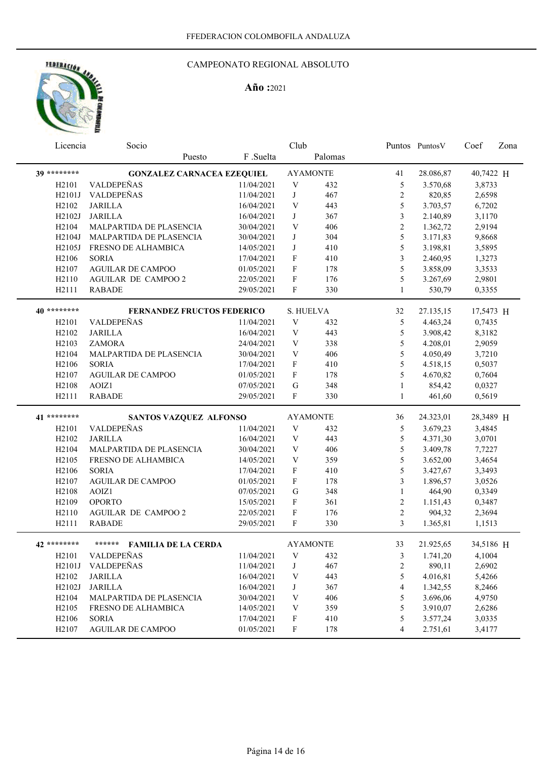

| Licencia    |                                | Socio                                |                                                |                           |                 |                | Puntos Puntos V       | Coef      | Zona |
|-------------|--------------------------------|--------------------------------------|------------------------------------------------|---------------------------|-----------------|----------------|-----------------------|-----------|------|
|             |                                | Puesto                               | F .Suelta                                      |                           | Palomas         |                |                       |           |      |
| 39 ******** |                                | <b>GONZALEZ CARNACEA EZEQUIEL</b>    |                                                |                           | <b>AYAMONTE</b> | 41             | 28.086,87             | 40,7422 H |      |
|             | H <sub>2101</sub>              | VALDEPEÑAS                           | 11/04/2021                                     | $\ensuremath{\text{V}}$   | 432             | 5              | 3.570,68              | 3,8733    |      |
|             | H2101J                         | VALDEPEÑAS                           | 11/04/2021                                     | $\bf J$                   | 467             | $\sqrt{2}$     | 820,85                | 2,6598    |      |
|             | H <sub>2</sub> 10 <sub>2</sub> | <b>JARILLA</b>                       | 16/04/2021                                     | V                         | 443             | 5              | 3.703,57              | 6,7202    |      |
|             | H2102J                         | <b>JARILLA</b>                       | 16/04/2021                                     | J                         | 367             | 3              | 2.140,89              | 3,1170    |      |
|             | H <sub>2</sub> 104             | MALPARTIDA DE PLASENCIA              | 30/04/2021                                     | V                         | 406             | $\overline{c}$ | 1.362,72              | 2,9194    |      |
|             | H2104J                         | MALPARTIDA DE PLASENCIA              | 30/04/2021                                     | J                         | 304             | 5              | 3.171,83              | 9,8668    |      |
|             | H2105J                         | FRESNO DE ALHAMBICA                  | 14/05/2021                                     | J                         | 410             | 5              | 3.198,81              | 3,5895    |      |
|             | H2106                          | <b>SORIA</b>                         | 17/04/2021                                     | F                         | 410             | 3              | 2.460,95              | 1,3273    |      |
|             | H2107                          | <b>AGUILAR DE CAMPOO</b>             | 01/05/2021                                     | F                         | 178             | 5              | 3.858,09              | 3,3533    |      |
|             | H <sub>2110</sub>              | <b>AGUILAR DE CAMPOO 2</b>           | 22/05/2021                                     | F                         | 176             | 5              | 3.267,69              | 2,9801    |      |
|             | H2111                          | <b>RABADE</b>                        | 29/05/2021                                     | F                         | 330             | $\mathbf{1}$   | 530,79                | 0,3355    |      |
|             | 40 ********                    |                                      | <b>FERNANDEZ FRUCTOS FEDERICO</b><br>S. HUELVA |                           |                 |                |                       | 17,5473 H |      |
|             | H <sub>2101</sub>              | VALDEPEÑAS                           | 11/04/2021                                     | $\ensuremath{\text{V}}$   | 432             | 32<br>5        | 27.135,15<br>4.463,24 | 0,7435    |      |
|             | H2102                          | <b>JARILLA</b>                       | 16/04/2021                                     | V                         | 443             | 5              | 3.908,42              | 8,3182    |      |
|             | H2103                          | <b>ZAMORA</b>                        | 24/04/2021                                     | V                         | 338             | 5              | 4.208,01              | 2,9059    |      |
|             | H <sub>2104</sub>              | MALPARTIDA DE PLASENCIA              | 30/04/2021                                     | V                         | 406             | 5              | 4.050,49              | 3,7210    |      |
|             | H2106                          | <b>SORIA</b>                         | 17/04/2021                                     | F                         | 410             | 5              | 4.518,15              | 0,5037    |      |
|             | H2107                          | <b>AGUILAR DE CAMPOO</b>             | 01/05/2021                                     | F                         | 178             | 5              | 4.670,82              | 0,7604    |      |
|             | H2108                          | AOIZ1                                | 07/05/2021                                     | G                         | 348             | $\mathbf{1}$   | 854,42                | 0,0327    |      |
|             | H2111                          | <b>RABADE</b>                        | 29/05/2021                                     | F                         | 330             | $\mathbf{1}$   | 461,60                | 0,5619    |      |
|             |                                |                                      |                                                |                           |                 |                |                       |           |      |
|             | 41 ********                    | <b>SANTOS VAZQUEZ ALFONSO</b>        |                                                |                           | <b>AYAMONTE</b> | 36             | 24.323,01             | 28,3489 H |      |
|             | H <sub>2</sub> 101             | VALDEPEÑAS                           | 11/04/2021                                     | $\ensuremath{\text{V}}$   | 432             | 5              | 3.679,23              | 3,4845    |      |
|             | H <sub>2</sub> 10 <sub>2</sub> | <b>JARILLA</b>                       | 16/04/2021                                     | $\mathbf V$               | 443             | 5              | 4.371,30              | 3,0701    |      |
|             | H <sub>2</sub> 104             | MALPARTIDA DE PLASENCIA              | 30/04/2021                                     | $\mathbf V$               | 406             | 5              | 3.409,78              | 7,7227    |      |
|             | H <sub>2105</sub>              | FRESNO DE ALHAMBICA                  | 14/05/2021                                     | $\mathbf V$               | 359             | 5              | 3.652,00              | 3,4654    |      |
|             | H2106                          | <b>SORIA</b>                         | 17/04/2021                                     | $\boldsymbol{\mathrm{F}}$ | 410             | 5              | 3.427,67              | 3,3493    |      |
|             | H <sub>2107</sub>              | <b>AGUILAR DE CAMPOO</b>             | 01/05/2021                                     | F                         | 178             | 3              | 1.896,57              | 3,0526    |      |
|             | H <sub>2108</sub>              | AOIZ1                                | 07/05/2021                                     | G                         | 348             | $\mathbf{1}$   | 464,90                | 0,3349    |      |
|             | H <sub>2109</sub>              | <b>OPORTO</b>                        | 15/05/2021                                     | F                         | 361             | 2              | 1.151,43              | 0,3487    |      |
|             | H2110                          | <b>AGUILAR DE CAMPOO 2</b>           | 22/05/2021                                     | F                         | 176             | $\overline{c}$ | 904,32                | 2,3694    |      |
|             | H2111                          | <b>RABADE</b>                        | 29/05/2021                                     | $\mathbf{F}$              | 330             | 3              | 1.365,81              | 1,1513    |      |
|             | 42 ********                    | ******<br><b>FAMILIA DE LA CERDA</b> |                                                | <b>AYAMONTE</b>           |                 | 33             | 21.925,65             | 34,5186 H |      |
|             | H <sub>2</sub> 101             | VALDEPEÑAS                           | 11/04/2021                                     | V                         | 432             | 3              | 1.741,20              | 4,1004    |      |
|             | H2101J                         | VALDEPEÑAS                           | 11/04/2021                                     | J                         | 467             | 2              | 890,11                | 2,6902    |      |
|             | H2102                          | <b>JARILLA</b>                       | 16/04/2021                                     | V                         | 443             | 5              | 4.016,81              | 5,4266    |      |
|             | H2102J                         | <b>JARILLA</b>                       | 16/04/2021                                     | J                         | 367             | $\overline{4}$ | 1.342,55              | 8,2466    |      |
|             | H <sub>2</sub> 104             | MALPARTIDA DE PLASENCIA              | 30/04/2021                                     | $\ensuremath{\text{V}}$   | 406             | 5              | 3.696,06              | 4,9750    |      |
|             | H2105                          | FRESNO DE ALHAMBICA                  | 14/05/2021                                     | V                         | 359             | 5              | 3.910,07              | 2,6286    |      |
|             | H2106                          | <b>SORIA</b>                         | 17/04/2021                                     | F                         | 410             | 5              | 3.577,24              | 3,0335    |      |
|             | H2107                          | <b>AGUILAR DE CAMPOO</b>             | 01/05/2021                                     | F                         | 178             | 4              | 2.751,61              | 3,4177    |      |
|             |                                |                                      |                                                |                           |                 |                |                       |           |      |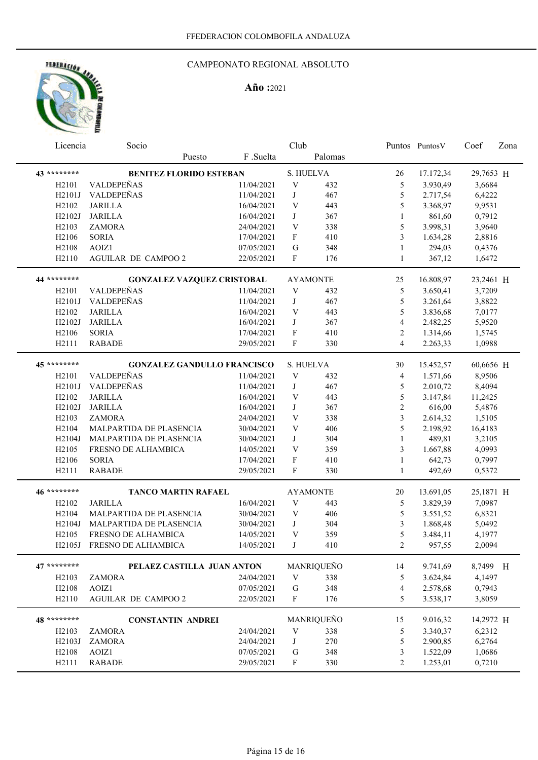# FEDERACIÓN **Ars**

## CAMPEONATO REGIONAL ABSOLUTO

|                                | Club<br>Licencia<br>Socio          |            |                           |                 | Puntos Puntos V          | Coef      | Zona      |  |
|--------------------------------|------------------------------------|------------|---------------------------|-----------------|--------------------------|-----------|-----------|--|
|                                | Puesto                             | F .Suelta  |                           | Palomas         |                          |           |           |  |
| 43 *********                   | <b>BENITEZ FLORIDO ESTEBAN</b>     |            | S. HUELVA                 |                 | 26                       | 17.172,34 | 29,7653 H |  |
| H <sub>2101</sub>              | VALDEPEÑAS                         | 11/04/2021 | $\ensuremath{\text{V}}$   | 432             | 5                        | 3.930,49  | 3,6684    |  |
| H2101J                         | VALDEPEÑAS                         | 11/04/2021 | J                         | 467             | 5                        | 2.717,54  | 6,4222    |  |
| H <sub>2</sub> 10 <sub>2</sub> | <b>JARILLA</b>                     | 16/04/2021 | V                         | 443             | 5                        | 3.368,97  | 9,9531    |  |
| H2102J                         | <b>JARILLA</b>                     | 16/04/2021 | J                         | 367             | $\mathbf{1}$             | 861,60    | 0,7912    |  |
| H2103                          | <b>ZAMORA</b>                      | 24/04/2021 | V                         | 338             | 5                        | 3.998,31  | 3,9640    |  |
| H2106                          | <b>SORIA</b>                       | 17/04/2021 | $\mathbf{F}$              | 410             | 3                        | 1.634,28  | 2,8816    |  |
| H <sub>2108</sub>              | AOIZ1                              | 07/05/2021 | G                         | 348             | $\mathbf{1}$             | 294,03    | 0,4376    |  |
| H <sub>2</sub> 110             | AGUILAR DE CAMPOO 2                | 22/05/2021 | F                         | 176             | 1                        | 367,12    | 1,6472    |  |
|                                |                                    |            |                           |                 |                          |           |           |  |
| 44 ********                    | <b>GONZALEZ VAZQUEZ CRISTOBAL</b>  |            |                           | <b>AYAMONTE</b> | 25                       | 16.808,97 | 23,2461 H |  |
| H <sub>2</sub> 101             | VALDEPEÑAS                         | 11/04/2021 | $\ensuremath{\mathbf{V}}$ | 432             | 5                        | 3.650,41  | 3,7209    |  |
| H2101J                         | VALDEPEÑAS                         | 11/04/2021 | J                         | 467             | 5                        | 3.261,64  | 3,8822    |  |
| H2102                          | <b>JARILLA</b>                     | 16/04/2021 | V                         | 443             | 5                        | 3.836,68  | 7,0177    |  |
| H2102J                         | <b>JARILLA</b>                     | 16/04/2021 | J                         | 367             | $\overline{\mathcal{L}}$ | 2.482,25  | 5,9520    |  |
| H2106                          | <b>SORIA</b>                       | 17/04/2021 | F                         | 410             | 2                        | 1.314,66  | 1,5745    |  |
| H2111                          | <b>RABADE</b>                      | 29/05/2021 | F                         | 330             | 4                        | 2.263,33  | 1,0988    |  |
| 45 ********                    | <b>GONZALEZ GANDULLO FRANCISCO</b> |            | <b>S. HUELVA</b>          |                 | 30                       | 15.452,57 | 60,6656 H |  |
| H <sub>2</sub> 101             | VALDEPEÑAS                         | 11/04/2021 | $\ensuremath{\mathsf{V}}$ | 432             | 4                        | 1.571,66  | 8,9506    |  |
| H2101J                         | VALDEPEÑAS                         | 11/04/2021 | J                         | 467             | 5                        | 2.010,72  |           |  |
|                                | <b>JARILLA</b>                     | 16/04/2021 | V                         |                 | 5                        |           | 8,4094    |  |
| H2102                          |                                    |            |                           | 443             |                          | 3.147,84  | 11,2425   |  |
| H2102J                         | <b>JARILLA</b>                     | 16/04/2021 | J                         | 367             | $\overline{c}$           | 616,00    | 5,4876    |  |
| H2103                          | <b>ZAMORA</b>                      | 24/04/2021 | V                         | 338             | 3                        | 2.614,32  | 1,5105    |  |
| H <sub>2104</sub>              | MALPARTIDA DE PLASENCIA            | 30/04/2021 | V                         | 406             | 5                        | 2.198,92  | 16,4183   |  |
| H2104J                         | MALPARTIDA DE PLASENCIA            | 30/04/2021 | J                         | 304             | $\mathbf{1}$             | 489,81    | 3,2105    |  |
| H2105                          | FRESNO DE ALHAMBICA                | 14/05/2021 | V                         | 359             | 3                        | 1.667,88  | 4,0993    |  |
| H2106                          | <b>SORIA</b>                       | 17/04/2021 | F                         | 410             | 1                        | 642,73    | 0,7997    |  |
| H2111                          | <b>RABADE</b>                      | 29/05/2021 | F                         | 330             | 1                        | 492,69    | 0,5372    |  |
| 46 *********                   | <b>TANCO MARTIN RAFAEL</b>         |            |                           | <b>AYAMONTE</b> | 20                       | 13.691,05 | 25,1871 H |  |
| H <sub>2</sub> 10 <sub>2</sub> | <b>JARILLA</b>                     | 16/04/2021 | V                         | 443             | 5                        | 3.829,39  | 7,0987    |  |
| H <sub>2</sub> 104             | MALPARTIDA DE PLASENCIA            | 30/04/2021 | V                         | 406             | 5                        | 3.551,52  | 6,8321    |  |
| H2104J                         | MALPARTIDA DE PLASENCIA            | 30/04/2021 | J                         | 304             | 3                        | 1.868,48  | 5,0492    |  |
| H <sub>2105</sub>              | FRESNO DE ALHAMBICA                | 14/05/2021 | V                         | 359             | 5                        | 3.484,11  | 4,1977    |  |
|                                | H2105J FRESNO DE ALHAMBICA         | 14/05/2021 | J                         | 410             | 2                        | 957,55    | 2,0094    |  |
| 47 ********                    |                                    |            |                           |                 |                          |           |           |  |
|                                | PELAEZ CASTILLA JUAN ANTON         |            |                           | MANRIQUEÑO      | 14                       | 9.741,69  | 8,7499 H  |  |
| H <sub>2</sub> 103             | <b>ZAMORA</b>                      | 24/04/2021 | $\mathbf V$               | 338             | 5                        | 3.624,84  | 4,1497    |  |
| H <sub>2108</sub>              | AOIZ1                              | 07/05/2021 | G                         | 348             | 4                        | 2.578,68  | 0,7943    |  |
| H <sub>2110</sub>              | AGUILAR DE CAMPOO 2                | 22/05/2021 | F                         | 176             | 5                        | 3.538,17  | 3,8059    |  |
| 48 *********                   | <b>CONSTANTIN ANDREI</b>           |            |                           | MANRIQUEÑO      | 15                       | 9.016,32  | 14,2972 H |  |
| H <sub>2</sub> 103             | <b>ZAMORA</b>                      | 24/04/2021 | $\ensuremath{\text{V}}$   | 338             | 5                        | 3.340,37  | 6,2312    |  |
| H2103J                         | <b>ZAMORA</b>                      | 24/04/2021 | J                         | 270             | 5                        | 2.900,85  | 6,2764    |  |
| H <sub>2108</sub>              | AOIZ1                              | 07/05/2021 | G                         | 348             | 3                        | 1.522,09  | 1,0686    |  |
| H <sub>2</sub> 111             | <b>RABADE</b>                      | 29/05/2021 | F                         | 330             | 2                        | 1.253,01  | 0,7210    |  |
|                                |                                    |            |                           |                 |                          |           |           |  |